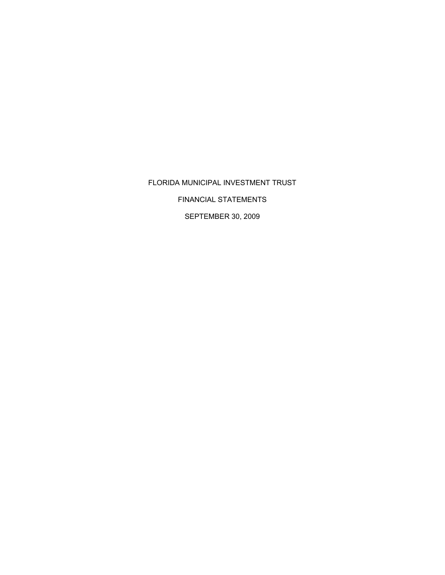# FLORIDA MUNICIPAL INVESTMENT TRUST

FINANCIAL STATEMENTS

SEPTEMBER 30, 2009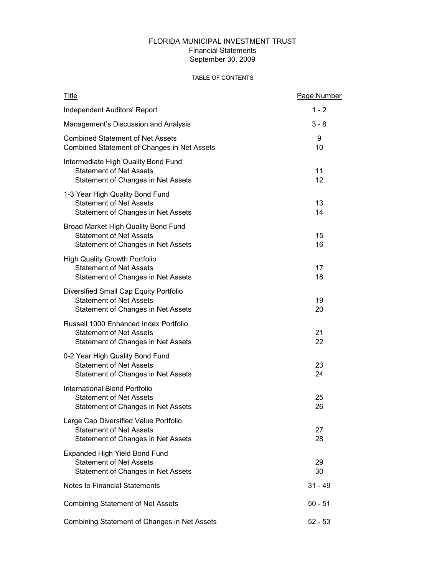# FLORIDA MUNICIPAL INVESTMENT TRUST Financial Statements September 30, 2009

# TABLE OF CONTENTS

| <b>Title</b>                                                                                                   | Page Number |
|----------------------------------------------------------------------------------------------------------------|-------------|
| <b>Independent Auditors' Report</b>                                                                            | $1 - 2$     |
| Management's Discussion and Analysis                                                                           | $3 - 8$     |
| <b>Combined Statement of Net Assets</b><br>Combined Statement of Changes in Net Assets                         | 9<br>10     |
| Intermediate High Quality Bond Fund<br><b>Statement of Net Assets</b><br>Statement of Changes in Net Assets    | 11<br>12    |
| 1-3 Year High Quality Bond Fund<br><b>Statement of Net Assets</b><br>Statement of Changes in Net Assets        | 13<br>14    |
| Broad Market High Quality Bond Fund<br><b>Statement of Net Assets</b><br>Statement of Changes in Net Assets    | 15<br>16    |
| <b>High Quality Growth Portfolio</b><br><b>Statement of Net Assets</b><br>Statement of Changes in Net Assets   | 17<br>18    |
| Diversified Small Cap Equity Portfolio<br><b>Statement of Net Assets</b><br>Statement of Changes in Net Assets | 19<br>20    |
| Russell 1000 Enhanced Index Portfolio<br><b>Statement of Net Assets</b><br>Statement of Changes in Net Assets  | 21<br>22    |
| 0-2 Year High Quality Bond Fund<br><b>Statement of Net Assets</b><br>Statement of Changes in Net Assets        | 23<br>24    |
| International Blend Portfolio<br><b>Statement of Net Assets</b><br>Statement of Changes in Net Assets          | 25<br>26    |
| Large Cap Diversified Value Portfolio<br><b>Statement of Net Assets</b><br>Statement of Changes in Net Assets  | 27<br>28    |
| Expanded High Yield Bond Fund<br><b>Statement of Net Assets</b><br>Statement of Changes in Net Assets          | 29<br>30    |
| <b>Notes to Financial Statements</b>                                                                           | 31 - 49     |
| <b>Combining Statement of Net Assets</b>                                                                       | $50 - 51$   |
| Combining Statement of Changes in Net Assets                                                                   | $52 - 53$   |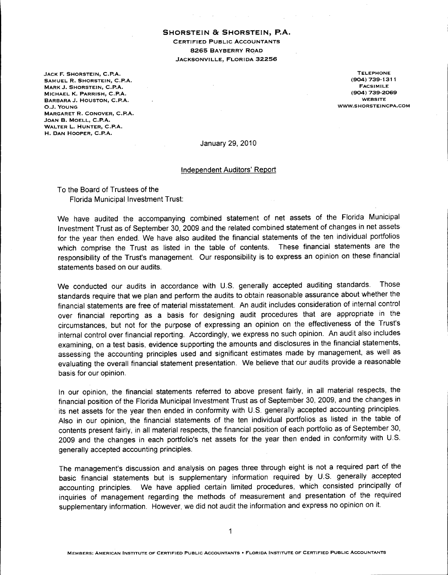**SHORSTEIN Be SHORSTEIN, P.A.** CERTIFIED PUBLIC ACCOUNTANTS 8265 BAYBERRY ROAD JACKSONVILLE, FLORIDA 32256

JACK F. SHORSTEIN, C.P.A. SAMUEL R. SHORSTEIN, C.P.A. MARK J. SHORSTEIN, C.P.A. MICHAEL K. PARRISH, C.P.A. BARBARA J. HOUSTON, C.P.A. O.J. YOUNG MARGARET R. CONOVER, C.P.A. JOAN B. MOELL, C.P.A. WALTER L. HUNTER, C.P.A. H. DAN HOOPER, C.P.A.

TELEPHONE (904) 739-1311 FACSIMILE (904) 739-2069 WEBSITE WWW.SHORSTEINCPA.COM

January 29,2010

Independent Auditors' Report

To the Board of Trustees of the Florida Municipal Investment Trust:

We have audited the accompanying combined statement of net assets of the Florida Municipal Investment Trust as of September 30, 2009 and the related combined statement of changes in net assets for the year then ended. We have also audited the financial statements of the ten individual portfolios which comprise the Trust as listed in the table of contents. These financial statements are the responsibility of the Trust's management. Our responsibility is to express an opinion on these financial statements based on our audits.

We conducted our audits in accordance with U.S. generally accepted auditing standards. Those standards require that we plan and perform the audits to obtain reasonable assurance about whether the financial statements are free of material misstatement. An audit includes consideration of internal control over financial reporting as a basis for designing audit procedures that are appropriate in the circumstances, but not for the purpose of expressing an opinion on the effectiveness of the Trust's internal control over financial reporting. Accordingly, we express no such opinion. An audit also includes examining, on a test basis, evidence supporting the amounts and disclosures in the financial statements, assessing the accounting principles used and significant estimates made by management, as well as evaluating the overall financial statement presentation. We believe that our audits provide a reasonable basis for our opinion.

In our opinion, the financial statements referred to above present fairly, in all material respects, the financial position of the Florida Municipal Investment Trust as of September 30, 2009, and the changes in its net assets for the year then ended in conformity with U.S. generally accepted accounting principles. Also in our opinion, the financial statements of the ten individual portfolios as listed in the table of contents present fairly, in all material respects, the financial position of each portfolio as of September 30, 2009 and the changes in each portfolio's net assets for the year then ended in conformity with U.S. generally accepted accounting principles.

The management's discussion and analysis on pages three through eight is not a required part of the basic financial statements but is supplementary information required by U.S. generally accepted accounting principles. We have applied certain limited procedures, which consisted principally of inquiries of management regarding the methods of measurement and presentation of the required supplementary information. However, we did not audit the information and express no opinion on it.

1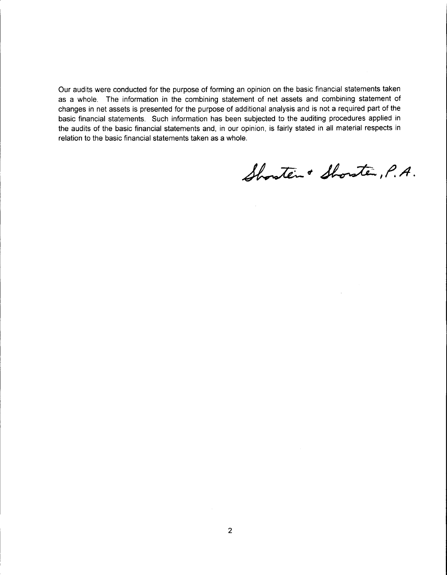Our audits were conducted for the purpose of forming an opinion on the basic financial statements taken as a whole. The information in the combining statement of net assets and combining statement of changes in net assets is presented for the purpose of additional analysis and is not a required part of the basic financial statements. Such information has been subjected to the auditing procedures applied in the audits of the basic financial statements and, in our opinion, is fairly stated in all material respects in relation to the basic financial statements taken as a whole.

Showten & Showten, P.A.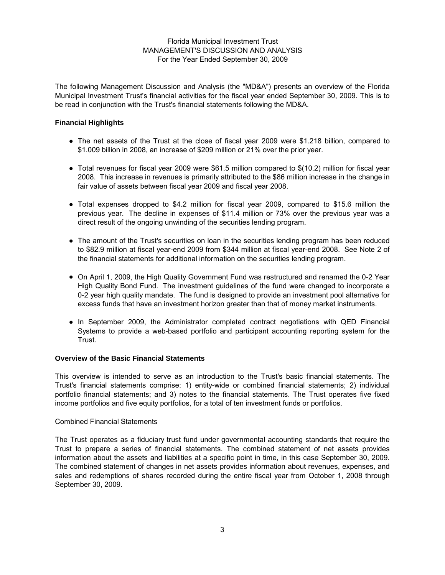The following Management Discussion and Analysis (the "MD&A") presents an overview of the Florida Municipal Investment Trust's financial activities for the fiscal year ended September 30, 2009. This is to be read in conjunction with the Trust's financial statements following the MD&A.

## **Financial Highlights**

- The net assets of the Trust at the close of fiscal year 2009 were \$1.218 billion, compared to \$1.009 billion in 2008, an increase of \$209 million or 21% over the prior year.
- Total revenues for fiscal year 2009 were \$61.5 million compared to \$(10.2) million for fiscal year 2008. This increase in revenues is primarily attributed to the \$86 million increase in the change in fair value of assets between fiscal year 2009 and fiscal year 2008.
- Total expenses dropped to \$4.2 million for fiscal year 2009, compared to \$15.6 million the previous year. The decline in expenses of \$11.4 million or 73% over the previous year was a direct result of the ongoing unwinding of the securities lending program.
- The amount of the Trust's securities on loan in the securities lending program has been reduced to \$82.9 million at fiscal year-end 2009 from \$344 million at fiscal year-end 2008. See Note 2 of the financial statements for additional information on the securities lending program.
- On April 1, 2009, the High Quality Government Fund was restructured and renamed the 0-2 Year High Quality Bond Fund. The investment guidelines of the fund were changed to incorporate a 0-2 year high quality mandate. The fund is designed to provide an investment pool alternative for excess funds that have an investment horizon greater than that of money market instruments.
- In September 2009, the Administrator completed contract negotiations with QED Financial Systems to provide a web-based portfolio and participant accounting reporting system for the Trust.

#### **Overview of the Basic Financial Statements**

This overview is intended to serve as an introduction to the Trust's basic financial statements. The Trust's financial statements comprise: 1) entity-wide or combined financial statements; 2) individual portfolio financial statements; and 3) notes to the financial statements. The Trust operates five fixed income portfolios and five equity portfolios, for a total of ten investment funds or portfolios.

#### Combined Financial Statements

The Trust operates as a fiduciary trust fund under governmental accounting standards that require the Trust to prepare a series of financial statements. The combined statement of net assets provides information about the assets and liabilities at a specific point in time, in this case September 30, 2009. The combined statement of changes in net assets provides information about revenues, expenses, and sales and redemptions of shares recorded during the entire fiscal year from October 1, 2008 through September 30, 2009.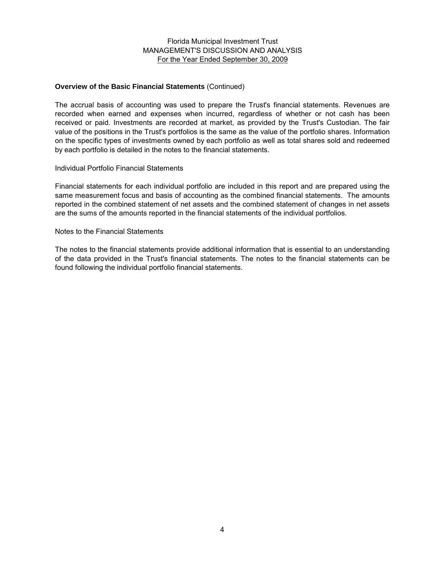#### **Overview of the Basic Financial Statements** (Continued)

The accrual basis of accounting was used to prepare the Trust's financial statements. Revenues are recorded when earned and expenses when incurred, regardless of whether or not cash has been received or paid. Investments are recorded at market, as provided by the Trust's Custodian. The fair value of the positions in the Trust's portfolios is the same as the value of the portfolio shares. Information on the specific types of investments owned by each portfolio as well as total shares sold and redeemed by each portfolio is detailed in the notes to the financial statements.

#### Individual Portfolio Financial Statements

Financial statements for each individual portfolio are included in this report and are prepared using the same measurement focus and basis of accounting as the combined financial statements. The amounts reported in the combined statement of net assets and the combined statement of changes in net assets are the sums of the amounts reported in the financial statements of the individual portfolios.

#### Notes to the Financial Statements

The notes to the financial statements provide additional information that is essential to an understanding of the data provided in the Trust's financial statements. The notes to the financial statements can be found following the individual portfolio financial statements.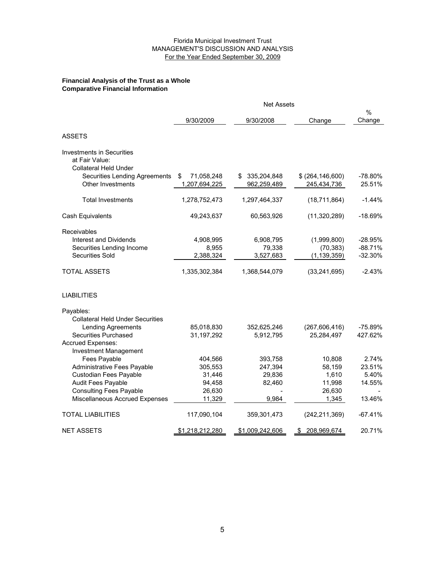#### **Financial Analysis of the Trust as a Whole Comparative Financial Information**

|                                                                                    | <b>Net Assets</b>                |                                 |                                   |                   |
|------------------------------------------------------------------------------------|----------------------------------|---------------------------------|-----------------------------------|-------------------|
|                                                                                    | 9/30/2009                        | 9/30/2008                       | Change                            | $\%$<br>Change    |
|                                                                                    |                                  |                                 |                                   |                   |
| <b>ASSETS</b>                                                                      |                                  |                                 |                                   |                   |
| <b>Investments in Securities</b><br>at Fair Value:<br><b>Collateral Held Under</b> |                                  |                                 |                                   |                   |
| Securities Lending Agreements<br><b>Other Investments</b>                          | 71,058,248<br>S<br>1,207,694,225 | 335,204,848<br>S<br>962,259,489 | \$ (264, 146, 600)<br>245,434,736 | -78.80%<br>25.51% |
| <b>Total Investments</b>                                                           | 1,278,752,473                    | 1,297,464,337                   | (18,711,864)                      | $-1.44%$          |
| Cash Equivalents                                                                   | 49,243,637                       | 60,563,926                      | (11,320,289)                      | $-18.69%$         |
| Receivables                                                                        |                                  |                                 |                                   |                   |
| <b>Interest and Dividends</b>                                                      | 4,908,995                        | 6,908,795                       | (1,999,800)                       | $-28.95%$         |
| Securities Lending Income                                                          | 8,955                            | 79,338                          | (70, 383)                         | $-88.71%$         |
| Securities Sold                                                                    | 2,388,324                        | 3,527,683                       | (1, 139, 359)                     | $-32.30%$         |
| <b>TOTAL ASSETS</b>                                                                | 1,335,302,384                    | 1,368,544,079                   | (33, 241, 695)                    | $-2.43%$          |
| <b>LIABILITIES</b>                                                                 |                                  |                                 |                                   |                   |
| Payables:                                                                          |                                  |                                 |                                   |                   |
| <b>Collateral Held Under Securities</b>                                            |                                  |                                 |                                   |                   |
| Lending Agreements                                                                 | 85,018,830                       | 352,625,246                     | (267, 606, 416)                   | $-75.89%$         |
| <b>Securities Purchased</b>                                                        | 31,197,292                       | 5,912,795                       | 25,284,497                        | 427.62%           |
| Accrued Expenses:                                                                  |                                  |                                 |                                   |                   |
| <b>Investment Management</b>                                                       |                                  |                                 |                                   |                   |
| Fees Payable                                                                       | 404,566                          | 393,758                         | 10,808                            | 2.74%             |
| Administrative Fees Payable                                                        | 305,553                          | 247,394                         | 58,159                            | 23.51%            |
| Custodian Fees Payable                                                             | 31,446                           | 29,836                          | 1,610                             | 5.40%             |
| Audit Fees Payable                                                                 | 94,458                           | 82,460                          | 11,998                            | 14.55%            |
| <b>Consulting Fees Payable</b>                                                     | 26,630                           |                                 | 26,630                            |                   |
| Miscellaneous Accrued Expenses                                                     | 11,329                           | 9,984                           | 1,345                             | 13.46%            |
| <b>TOTAL LIABILITIES</b>                                                           | 117,090,104                      | 359,301,473                     | (242, 211, 369)                   | $-67.41%$         |
| <b>NET ASSETS</b>                                                                  | \$1,218,212,280                  | \$1,009,242,606                 | 208,969,674<br>S.                 | 20.71%            |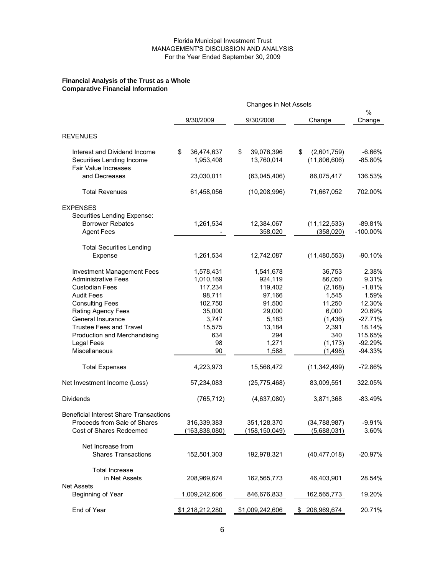#### **Financial Analysis of the Trust as a Whole Comparative Financial Information**

|                                                                                                                                                                                                                                                                                                                                                                         |                                                                                                                                                 | Changes in Net Assets                                                                                                                                    |                                                                                                                                                          |                                                                                                                                                          |
|-------------------------------------------------------------------------------------------------------------------------------------------------------------------------------------------------------------------------------------------------------------------------------------------------------------------------------------------------------------------------|-------------------------------------------------------------------------------------------------------------------------------------------------|----------------------------------------------------------------------------------------------------------------------------------------------------------|----------------------------------------------------------------------------------------------------------------------------------------------------------|----------------------------------------------------------------------------------------------------------------------------------------------------------|
|                                                                                                                                                                                                                                                                                                                                                                         | 9/30/2009                                                                                                                                       | 9/30/2008                                                                                                                                                | Change                                                                                                                                                   | %<br>Change                                                                                                                                              |
| <b>REVENUES</b>                                                                                                                                                                                                                                                                                                                                                         |                                                                                                                                                 |                                                                                                                                                          |                                                                                                                                                          |                                                                                                                                                          |
| Interest and Dividend Income<br>Securities Lending Income<br><b>Fair Value Increases</b>                                                                                                                                                                                                                                                                                | \$<br>36,474,637<br>1,953,408                                                                                                                   | \$<br>39,076,396<br>13,760,014                                                                                                                           | \$<br>(2,601,759)<br>(11,806,606)                                                                                                                        | $-6.66%$<br>$-85.80%$                                                                                                                                    |
| and Decreases                                                                                                                                                                                                                                                                                                                                                           | 23,030,011                                                                                                                                      | (63,045,406)                                                                                                                                             | 86,075,417                                                                                                                                               | 136.53%                                                                                                                                                  |
| <b>Total Revenues</b>                                                                                                                                                                                                                                                                                                                                                   | 61,458,056                                                                                                                                      | (10, 208, 996)                                                                                                                                           | 71,667,052                                                                                                                                               | 702.00%                                                                                                                                                  |
| <b>EXPENSES</b><br>Securities Lending Expense:<br><b>Borrower Rebates</b><br><b>Agent Fees</b>                                                                                                                                                                                                                                                                          | 1,261,534                                                                                                                                       | 12,384,067<br>358,020                                                                                                                                    | (11, 122, 533)<br>(358,020)                                                                                                                              | $-89.81%$<br>$-100.00\%$                                                                                                                                 |
| <b>Total Securities Lending</b><br>Expense                                                                                                                                                                                                                                                                                                                              | 1,261,534                                                                                                                                       | 12,742,087                                                                                                                                               | (11,480,553)                                                                                                                                             | $-90.10%$                                                                                                                                                |
| <b>Investment Management Fees</b><br><b>Administrative Fees</b><br><b>Custodian Fees</b><br><b>Audit Fees</b><br><b>Consulting Fees</b><br>Rating Agency Fees<br>General Insurance<br><b>Trustee Fees and Travel</b><br>Production and Merchandising<br><b>Legal Fees</b><br>Miscellaneous<br><b>Total Expenses</b><br>Net Investment Income (Loss)<br><b>Dividends</b> | 1,578,431<br>1,010,169<br>117,234<br>98,711<br>102,750<br>35,000<br>3,747<br>15,575<br>634<br>98<br>90<br>4,223,973<br>57,234,083<br>(765, 712) | 1,541,678<br>924,119<br>119,402<br>97,166<br>91,500<br>29,000<br>5,183<br>13,184<br>294<br>1,271<br>1,588<br>15,566,472<br>(25, 775, 468)<br>(4,637,080) | 36,753<br>86,050<br>(2, 168)<br>1,545<br>11,250<br>6,000<br>(1, 436)<br>2,391<br>340<br>(1, 173)<br>(1,498)<br>(11, 342, 499)<br>83,009,551<br>3,871,368 | 2.38%<br>9.31%<br>$-1.81%$<br>1.59%<br>12.30%<br>20.69%<br>$-27.71%$<br>18.14%<br>115.65%<br>$-92.29%$<br>$-94.33%$<br>$-72.86%$<br>322.05%<br>$-83.49%$ |
| <b>Beneficial Interest Share Transactions</b><br>Proceeds from Sale of Shares<br>Cost of Shares Redeemed                                                                                                                                                                                                                                                                | 316,339,383<br>(163, 838, 080)                                                                                                                  | 351,128,370<br>(158, 150, 049)                                                                                                                           | (34, 788, 987)<br>(5,688,031)                                                                                                                            | $-9.91%$<br>3.60%                                                                                                                                        |
| Net Increase from<br><b>Shares Transactions</b>                                                                                                                                                                                                                                                                                                                         | 152,501,303                                                                                                                                     | 192,978,321                                                                                                                                              | (40, 477, 018)                                                                                                                                           | $-20.97\%$                                                                                                                                               |
| <b>Total Increase</b><br>in Net Assets                                                                                                                                                                                                                                                                                                                                  | 208,969,674                                                                                                                                     | 162,565,773                                                                                                                                              | 46,403,901                                                                                                                                               | 28.54%                                                                                                                                                   |
| <b>Net Assets</b><br>Beginning of Year                                                                                                                                                                                                                                                                                                                                  | 1,009,242,606                                                                                                                                   | 846,676,833                                                                                                                                              | 162,565,773                                                                                                                                              | 19.20%                                                                                                                                                   |
| End of Year                                                                                                                                                                                                                                                                                                                                                             | \$1,218,212,280                                                                                                                                 | \$1,009,242,606                                                                                                                                          | 208,969,674<br>S.                                                                                                                                        | 20.71%                                                                                                                                                   |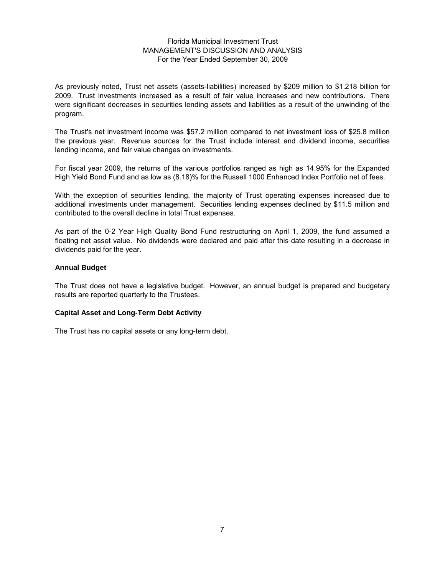As previously noted, Trust net assets (assets-liabilities) increased by \$209 million to \$1.218 billion for 2009. Trust investments increased as a result of fair value increases and new contributions. There were significant decreases in securities lending assets and liabilities as a result of the unwinding of the program.

The Trust's net investment income was \$57.2 million compared to net investment loss of \$25.8 million the previous year. Revenue sources for the Trust include interest and dividend income, securities lending income, and fair value changes on investments.

For fiscal year 2009, the returns of the various portfolios ranged as high as 14.95% for the Expanded High Yield Bond Fund and as low as (8.18)% for the Russell 1000 Enhanced Index Portfolio net of fees.

With the exception of securities lending, the majority of Trust operating expenses increased due to additional investments under management. Securities lending expenses declined by \$11.5 million and contributed to the overall decline in total Trust expenses.

As part of the 0-2 Year High Quality Bond Fund restructuring on April 1, 2009, the fund assumed a floating net asset value. No dividends were declared and paid after this date resulting in a decrease in dividends paid for the year.

#### **Annual Budget**

The Trust does not have a legislative budget. However, an annual budget is prepared and budgetary results are reported quarterly to the Trustees.

#### **Capital Asset and Long-Term Debt Activity**

The Trust has no capital assets or any long-term debt.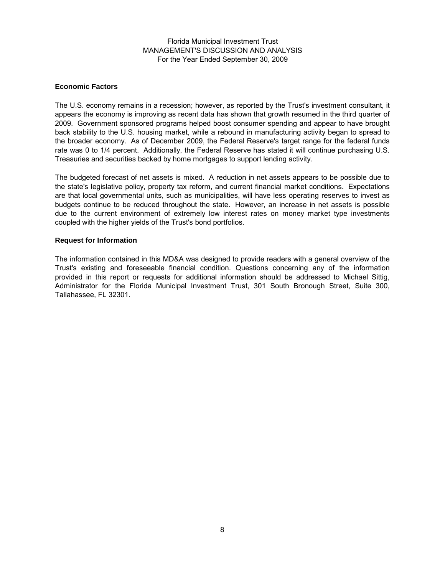## MANAGEMENT'S DISCUSSION AND ANALYSIS For the Year Ended September 30, 2009 Florida Municipal Investment Trust

#### **Economic Factors**

The U.S. economy remains in a recession; however, as reported by the Trust's investment consultant, it appears the economy is improving as recent data has shown that growth resumed in the third quarter of 2009. Government sponsored programs helped boost consumer spending and appear to have brought back stability to the U.S. housing market, while a rebound in manufacturing activity began to spread to the broader economy. As of December 2009, the Federal Reserve's target range for the federal funds rate was 0 to 1/4 percent. Additionally, the Federal Reserve has stated it will continue purchasing U.S. Treasuries and securities backed by home mortgages to support lending activity.

The budgeted forecast of net assets is mixed. A reduction in net assets appears to be possible due to the state's legislative policy, property tax reform, and current financial market conditions. Expectations are that local governmental units, such as municipalities, will have less operating reserves to invest as budgets continue to be reduced throughout the state. However, an increase in net assets is possible due to the current environment of extremely low interest rates on money market type investments coupled with the higher yields of the Trust's bond portfolios.

#### **Request for Information**

The information contained in this MD&A was designed to provide readers with a general overview of the Trust's existing and foreseeable financial condition. Questions concerning any of the information provided in this report or requests for additional information should be addressed to Michael Sittig, Administrator for the Florida Municipal Investment Trust, 301 South Bronough Street, Suite 300, Tallahassee, FL 32301.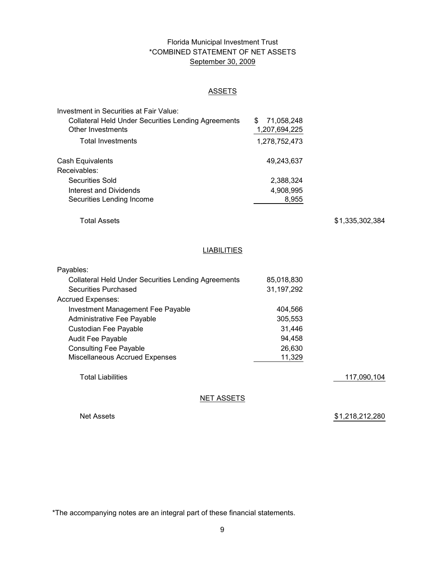# Florida Municipal Investment Trust \*COMBINED STATEMENT OF NET ASSETS September 30, 2009

## **ASSETS**

| Investment in Securities at Fair Value:                    |                 |  |
|------------------------------------------------------------|-----------------|--|
| <b>Collateral Held Under Securities Lending Agreements</b> | 71,058,248<br>S |  |
| Other Investments                                          | 1,207,694,225   |  |
| <b>Total Investments</b>                                   | 1,278,752,473   |  |
| Cash Equivalents                                           | 49,243,637      |  |
| Receivables:                                               |                 |  |
| Securities Sold                                            | 2,388,324       |  |
| Interest and Dividends                                     | 4,908,995       |  |
| Securities Lending Income                                  | 8,955           |  |

Total Assets

\$ 1,335,302,384

#### **LIABILITIES**

| Payables:                                                  |              |             |
|------------------------------------------------------------|--------------|-------------|
| <b>Collateral Held Under Securities Lending Agreements</b> | 85,018,830   |             |
| Securities Purchased                                       | 31, 197, 292 |             |
| Accrued Expenses:                                          |              |             |
| Investment Management Fee Payable                          | 404.566      |             |
| Administrative Fee Payable                                 | 305,553      |             |
| Custodian Fee Payable                                      | 31,446       |             |
| <b>Audit Fee Payable</b>                                   | 94.458       |             |
| <b>Consulting Fee Payable</b>                              | 26,630       |             |
| Miscellaneous Accrued Expenses                             | 11,329       |             |
|                                                            |              |             |
| Total Liabilities                                          |              | 117.090.104 |

NET ASSETS

Net Assets

\$1,218,212,280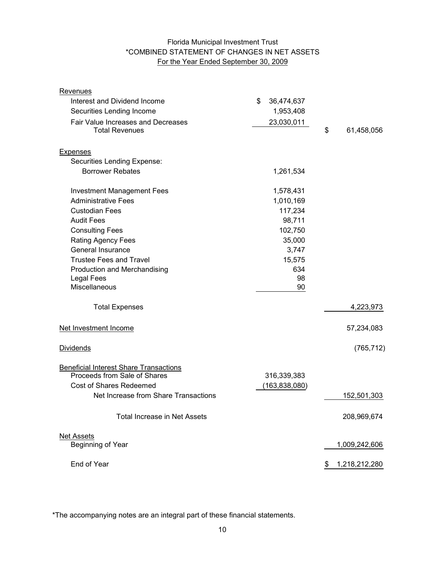# Florida Municipal Investment Trust \*COMBINED STATEMENT OF CHANGES IN NET ASSETS For the Year Ended September 30, 2009

| <u>Revenues</u>                               |                  |                  |
|-----------------------------------------------|------------------|------------------|
| Interest and Dividend Income                  | \$<br>36,474,637 |                  |
| Securities Lending Income                     | 1,953,408        |                  |
| Fair Value Increases and Decreases            | 23,030,011       |                  |
| <b>Total Revenues</b>                         |                  | \$<br>61,458,056 |
| <b>Expenses</b>                               |                  |                  |
| Securities Lending Expense:                   |                  |                  |
| <b>Borrower Rebates</b>                       | 1,261,534        |                  |
| <b>Investment Management Fees</b>             | 1,578,431        |                  |
| <b>Administrative Fees</b>                    | 1,010,169        |                  |
| <b>Custodian Fees</b>                         | 117,234          |                  |
| <b>Audit Fees</b>                             | 98,711           |                  |
| <b>Consulting Fees</b>                        | 102,750          |                  |
| Rating Agency Fees                            | 35,000           |                  |
| General Insurance                             | 3,747            |                  |
| <b>Trustee Fees and Travel</b>                | 15,575           |                  |
| Production and Merchandising                  | 634              |                  |
| <b>Legal Fees</b>                             | 98               |                  |
| <b>Miscellaneous</b>                          | 90               |                  |
| <b>Total Expenses</b>                         |                  | 4,223,973        |
| Net Investment Income                         |                  | 57,234,083       |
| <b>Dividends</b>                              |                  | (765, 712)       |
| <b>Beneficial Interest Share Transactions</b> |                  |                  |
| Proceeds from Sale of Shares                  | 316,339,383      |                  |
| Cost of Shares Redeemed                       | (163, 838, 080)  |                  |
| Net Increase from Share Transactions          |                  | 152,501,303      |
| <b>Total Increase in Net Assets</b>           |                  | 208,969,674      |
| <b>Net Assets</b>                             |                  |                  |
| Beginning of Year                             |                  | 1,009,242,606    |
| End of Year                                   |                  | 1,218,212,280    |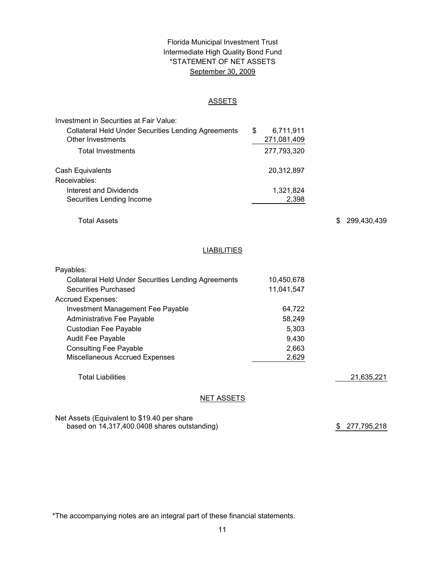# Florida Municipal Investment Trust Intermediate High Quality Bond Fund \*STATEMENT OF NET ASSETS September 30, 2009

#### ASSETS

| Investment in Securities at Fair Value:                    |                 |
|------------------------------------------------------------|-----------------|
| <b>Collateral Held Under Securities Lending Agreements</b> | \$<br>6,711,911 |
| Other Investments                                          | 271,081,409     |
| <b>Total Investments</b>                                   | 277,793,320     |
| Cash Equivalents                                           | 20,312,897      |
| Receivables:                                               |                 |
| Interest and Dividends                                     | 1,321,824       |
| Securities Lending Income                                  | 2,398           |

Total Assets

\$ 299,430,439

#### **LIABILITIES**

| Payables:                                                  |            |            |
|------------------------------------------------------------|------------|------------|
| <b>Collateral Held Under Securities Lending Agreements</b> | 10.450.678 |            |
| Securities Purchased                                       | 11,041,547 |            |
| <b>Accrued Expenses:</b>                                   |            |            |
| Investment Management Fee Payable                          | 64.722     |            |
| Administrative Fee Payable                                 | 58.249     |            |
| Custodian Fee Payable                                      | 5,303      |            |
| <b>Audit Fee Payable</b>                                   | 9,430      |            |
| <b>Consulting Fee Payable</b>                              | 2,663      |            |
| <b>Miscellaneous Accrued Expenses</b>                      | 2,629      |            |
|                                                            |            |            |
| <b>Total Liabilities</b>                                   |            | 21,635,221 |
|                                                            |            |            |
|                                                            |            |            |

NET ASSETS

Net Assets (Equivalent to \$19.40 per share based on 14,317,400.0408 shares outstanding)

\$ 277,795,218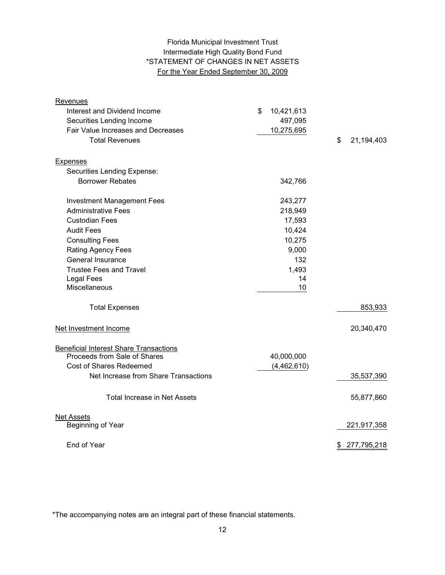# Intermediate High Quality Bond Fund For the Year Ended September 30, 2009 Florida Municipal Investment Trust \*STATEMENT OF CHANGES IN NET ASSETS

| Revenues                                      |                  |                  |
|-----------------------------------------------|------------------|------------------|
| Interest and Dividend Income                  | \$<br>10,421,613 |                  |
| Securities Lending Income                     | 497,095          |                  |
| Fair Value Increases and Decreases            | 10,275,695       |                  |
| <b>Total Revenues</b>                         |                  | \$<br>21,194,403 |
| <b>Expenses</b>                               |                  |                  |
| Securities Lending Expense:                   |                  |                  |
| <b>Borrower Rebates</b>                       | 342,766          |                  |
| <b>Investment Management Fees</b>             | 243,277          |                  |
| <b>Administrative Fees</b>                    | 218,949          |                  |
| <b>Custodian Fees</b>                         | 17,593           |                  |
| <b>Audit Fees</b>                             | 10,424           |                  |
| <b>Consulting Fees</b>                        | 10,275           |                  |
| Rating Agency Fees                            | 9,000            |                  |
| <b>General Insurance</b>                      | 132              |                  |
| <b>Trustee Fees and Travel</b>                | 1,493            |                  |
| <b>Legal Fees</b>                             | 14               |                  |
| Miscellaneous                                 | 10               |                  |
| <b>Total Expenses</b>                         |                  | 853,933          |
| Net Investment Income                         |                  | 20,340,470       |
| <b>Beneficial Interest Share Transactions</b> |                  |                  |
| Proceeds from Sale of Shares                  | 40,000,000       |                  |
| Cost of Shares Redeemed                       | (4,462,610)      |                  |
| Net Increase from Share Transactions          |                  | 35,537,390       |
| Total Increase in Net Assets                  |                  | 55,877,860       |
| <b>Net Assets</b>                             |                  |                  |
| Beginning of Year                             |                  | 221,917,358      |
| End of Year                                   |                  | \$ 277,795,218   |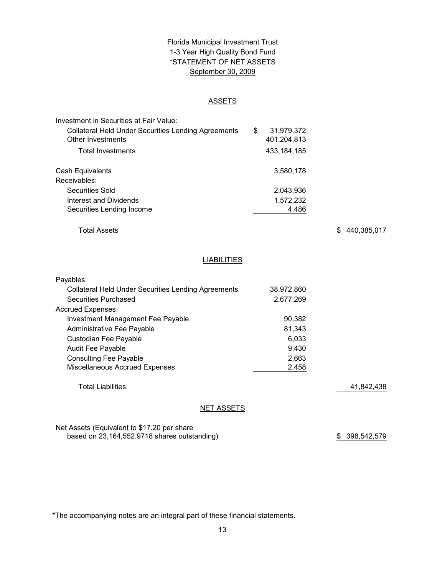# \*STATEMENT OF NET ASSETS Florida Municipal Investment Trust 1-3 Year High Quality Bond Fund September 30, 2009

#### ASSETS

| Investment in Securities at Fair Value:                    |                  |
|------------------------------------------------------------|------------------|
| <b>Collateral Held Under Securities Lending Agreements</b> | \$<br>31,979,372 |
| Other Investments                                          | 401,204,813      |
| <b>Total Investments</b>                                   | 433, 184, 185    |
| Cash Equivalents                                           | 3,580,178        |
| Receivables:                                               |                  |
| Securities Sold                                            | 2,043,936        |
| Interest and Dividends                                     | 1,572,232        |
| Securities Lending Income                                  | 4.486            |

Total Assets

\$ 440,385,017

# **LIABILITIES**

| Payables:                                           |            |            |
|-----------------------------------------------------|------------|------------|
| Collateral Held Under Securities Lending Agreements | 38,972,860 |            |
| Securities Purchased                                | 2,677,269  |            |
| <b>Accrued Expenses:</b>                            |            |            |
| Investment Management Fee Payable                   | 90,382     |            |
| Administrative Fee Payable                          | 81.343     |            |
| Custodian Fee Payable                               | 6,033      |            |
| <b>Audit Fee Payable</b>                            | 9,430      |            |
| <b>Consulting Fee Payable</b>                       | 2,663      |            |
| <b>Miscellaneous Accrued Expenses</b>               | 2,458      |            |
| <b>Total Liabilities</b>                            |            | 41,842,438 |
| <b>NET ASSETS</b>                                   |            |            |

Net Assets (Equivalent to \$17.20 per share based on 23,164,552.9718 shares outstanding)

\$ 398,542,579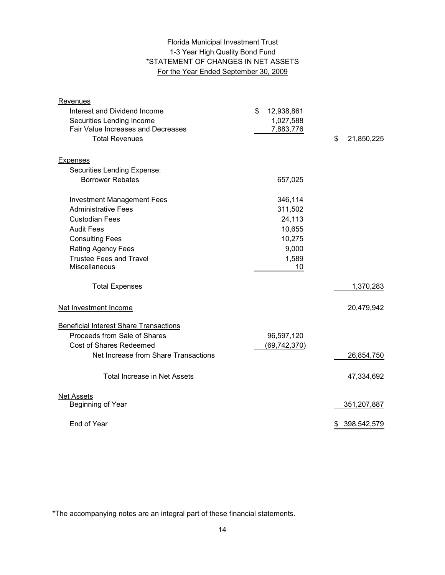# 1-3 Year High Quality Bond Fund \*STATEMENT OF CHANGES IN NET ASSETS For the Year Ended September 30, 2009 Florida Municipal Investment Trust

| Revenues                                      |                  |                  |
|-----------------------------------------------|------------------|------------------|
| Interest and Dividend Income                  | \$<br>12,938,861 |                  |
| Securities Lending Income                     | 1,027,588        |                  |
| <b>Fair Value Increases and Decreases</b>     | 7,883,776        |                  |
| <b>Total Revenues</b>                         |                  | \$<br>21,850,225 |
| <b>Expenses</b>                               |                  |                  |
| Securities Lending Expense:                   |                  |                  |
| <b>Borrower Rebates</b>                       | 657,025          |                  |
|                                               |                  |                  |
| <b>Investment Management Fees</b>             | 346,114          |                  |
| <b>Administrative Fees</b>                    | 311,502          |                  |
| <b>Custodian Fees</b>                         | 24,113           |                  |
| <b>Audit Fees</b>                             | 10,655           |                  |
| <b>Consulting Fees</b>                        | 10,275           |                  |
| <b>Rating Agency Fees</b>                     | 9,000            |                  |
| <b>Trustee Fees and Travel</b>                | 1,589            |                  |
| Miscellaneous                                 | 10               |                  |
| <b>Total Expenses</b>                         |                  | 1,370,283        |
| Net Investment Income                         |                  | 20,479,942       |
| <b>Beneficial Interest Share Transactions</b> |                  |                  |
| Proceeds from Sale of Shares                  | 96,597,120       |                  |
| <b>Cost of Shares Redeemed</b>                | (69, 742, 370)   |                  |
| Net Increase from Share Transactions          |                  | 26,854,750       |
| <b>Total Increase in Net Assets</b>           |                  | 47,334,692       |
|                                               |                  |                  |
| <b>Net Assets</b><br>Beginning of Year        |                  | 351,207,887      |
|                                               |                  |                  |
| End of Year                                   |                  | \$ 398,542,579   |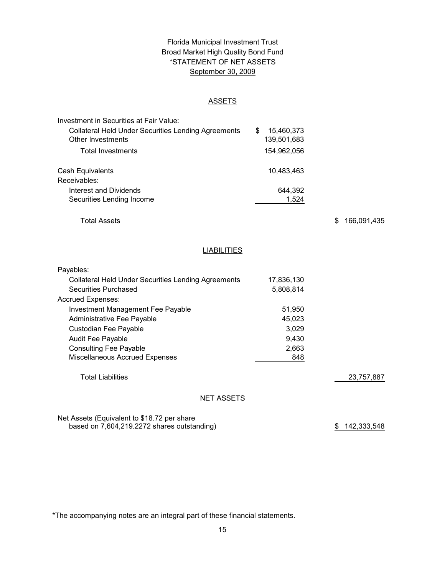# Florida Municipal Investment Trust Broad Market High Quality Bond Fund September 30, 2009 \*STATEMENT OF NET ASSETS

#### ASSETS

| Investment in Securities at Fair Value:                    |                 |
|------------------------------------------------------------|-----------------|
| <b>Collateral Held Under Securities Lending Agreements</b> | 15,460,373<br>S |
| <b>Other Investments</b>                                   | 139,501,683     |
| <b>Total Investments</b>                                   | 154,962,056     |
| Cash Equivalents                                           | 10,483,463      |
| Receivables:                                               |                 |
| Interest and Dividends                                     | 644,392         |
| Securities Lending Income                                  | 1.524           |

Total Assets

\$ 166,091,435

#### **LIABILITIES**

| Payables:                                                  |            |            |
|------------------------------------------------------------|------------|------------|
| <b>Collateral Held Under Securities Lending Agreements</b> | 17,836,130 |            |
| Securities Purchased                                       | 5,808,814  |            |
| <b>Accrued Expenses:</b>                                   |            |            |
| Investment Management Fee Payable                          | 51,950     |            |
| Administrative Fee Payable                                 | 45.023     |            |
| Custodian Fee Payable                                      | 3,029      |            |
| <b>Audit Fee Payable</b>                                   | 9.430      |            |
| <b>Consulting Fee Payable</b>                              | 2,663      |            |
| Miscellaneous Accrued Expenses                             | 848        |            |
|                                                            |            |            |
| <b>Total Liabilities</b>                                   |            | 23,757,887 |
|                                                            |            |            |

#### NET ASSETS

Net Assets (Equivalent to \$18.72 per share based on 7,604,219.2272 shares outstanding)

\$ 142,333,548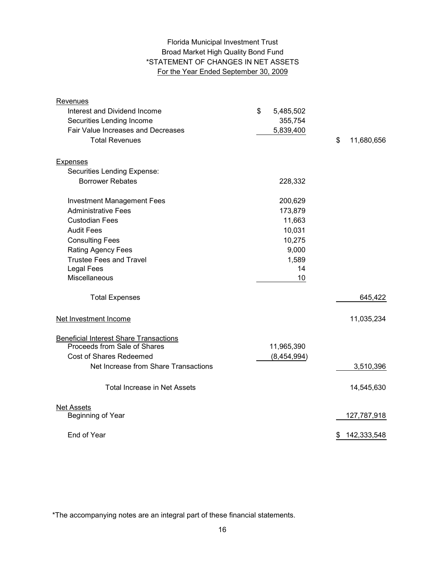# Florida Municipal Investment Trust Broad Market High Quality Bond Fund \*STATEMENT OF CHANGES IN NET ASSETS For the Year Ended September 30, 2009

| <b>Revenues</b>                               |                 |                   |
|-----------------------------------------------|-----------------|-------------------|
| Interest and Dividend Income                  | \$<br>5,485,502 |                   |
| Securities Lending Income                     | 355,754         |                   |
| Fair Value Increases and Decreases            | 5,839,400       |                   |
| <b>Total Revenues</b>                         |                 | \$<br>11,680,656  |
| <b>Expenses</b>                               |                 |                   |
| Securities Lending Expense:                   |                 |                   |
| <b>Borrower Rebates</b>                       | 228,332         |                   |
| <b>Investment Management Fees</b>             | 200,629         |                   |
| <b>Administrative Fees</b>                    | 173,879         |                   |
| <b>Custodian Fees</b>                         | 11,663          |                   |
| <b>Audit Fees</b>                             | 10,031          |                   |
| <b>Consulting Fees</b>                        | 10,275          |                   |
| Rating Agency Fees                            | 9,000           |                   |
| <b>Trustee Fees and Travel</b>                | 1,589           |                   |
| <b>Legal Fees</b>                             | 14              |                   |
| Miscellaneous                                 | 10              |                   |
| <b>Total Expenses</b>                         |                 | 645,422           |
| Net Investment Income                         |                 | 11,035,234        |
| <b>Beneficial Interest Share Transactions</b> |                 |                   |
| Proceeds from Sale of Shares                  | 11,965,390      |                   |
| Cost of Shares Redeemed                       | (8,454,994)     |                   |
| Net Increase from Share Transactions          |                 | 3,510,396         |
| <b>Total Increase in Net Assets</b>           |                 | 14,545,630        |
| <b>Net Assets</b>                             |                 |                   |
| Beginning of Year                             |                 | 127,787,918       |
| End of Year                                   |                 | \$<br>142,333,548 |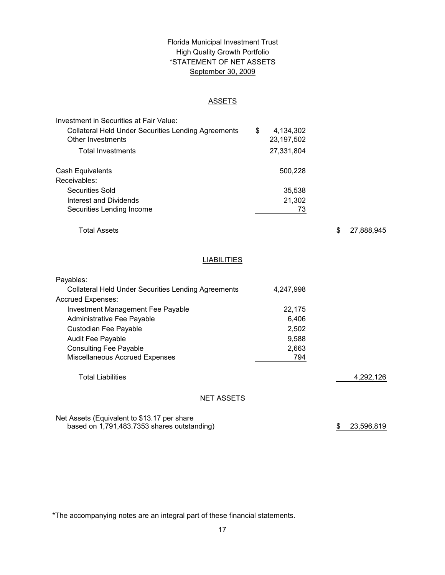# \*STATEMENT OF NET ASSETS Florida Municipal Investment Trust High Quality Growth Portfolio September 30, 2009

#### ASSETS

| Investment in Securities at Fair Value:                    |   |              |
|------------------------------------------------------------|---|--------------|
| <b>Collateral Held Under Securities Lending Agreements</b> | S | 4,134,302    |
| Other Investments                                          |   | 23, 197, 502 |
| Total Investments                                          |   | 27,331,804   |
| Cash Equivalents                                           |   | 500,228      |
| Receivables:                                               |   |              |
| Securities Sold                                            |   | 35,538       |
| Interest and Dividends                                     |   | 21,302       |
| Securities Lending Income                                  |   | 73           |

Total Assets

\$ 27,888,945

# **LIABILITIES**

| Payables:                                                  |           |           |
|------------------------------------------------------------|-----------|-----------|
| <b>Collateral Held Under Securities Lending Agreements</b> | 4,247,998 |           |
| <b>Accrued Expenses:</b>                                   |           |           |
| Investment Management Fee Payable                          | 22,175    |           |
| Administrative Fee Payable                                 | 6.406     |           |
| Custodian Fee Payable                                      | 2,502     |           |
| <b>Audit Fee Payable</b>                                   | 9.588     |           |
| <b>Consulting Fee Payable</b>                              | 2,663     |           |
| Miscellaneous Accrued Expenses                             | 794       |           |
| <b>Total Liabilities</b>                                   |           | 4,292,126 |
| <b>NET ASSETS</b>                                          |           |           |

Net Assets (Equivalent to \$13.17 per share based on 1,791,483.7353 shares outstanding)

\$ 23,596,819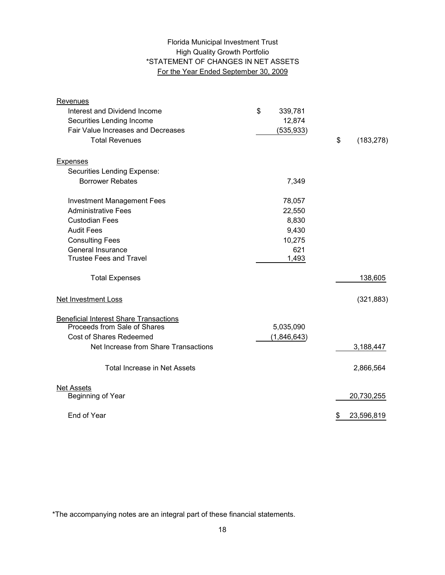# High Quality Growth Portfolio \*STATEMENT OF CHANGES IN NET ASSETS For the Year Ended September 30, 2009 Florida Municipal Investment Trust

| <b>Revenues</b>                               |               |                  |
|-----------------------------------------------|---------------|------------------|
| Interest and Dividend Income                  | \$<br>339,781 |                  |
| Securities Lending Income                     | 12,874        |                  |
| Fair Value Increases and Decreases            | (535, 933)    |                  |
| <b>Total Revenues</b>                         |               | \$<br>(183, 278) |
|                                               |               |                  |
| Expenses                                      |               |                  |
| Securities Lending Expense:                   |               |                  |
| <b>Borrower Rebates</b>                       | 7,349         |                  |
| <b>Investment Management Fees</b>             | 78,057        |                  |
| <b>Administrative Fees</b>                    | 22,550        |                  |
| <b>Custodian Fees</b>                         | 8,830         |                  |
| <b>Audit Fees</b>                             | 9,430         |                  |
| <b>Consulting Fees</b>                        | 10,275        |                  |
| General Insurance                             | 621           |                  |
| <b>Trustee Fees and Travel</b>                | 1,493         |                  |
| <b>Total Expenses</b>                         |               | 138,605          |
| Net Investment Loss                           |               | (321, 883)       |
| <b>Beneficial Interest Share Transactions</b> |               |                  |
| Proceeds from Sale of Shares                  | 5,035,090     |                  |
| <b>Cost of Shares Redeemed</b>                | (1,846,643)   |                  |
| Net Increase from Share Transactions          |               | 3,188,447        |
|                                               |               |                  |
| <b>Total Increase in Net Assets</b>           |               | 2,866,564        |
| <b>Net Assets</b>                             |               |                  |
| Beginning of Year                             |               | 20,730,255       |
|                                               |               |                  |
| End of Year                                   |               | \$<br>23,596,819 |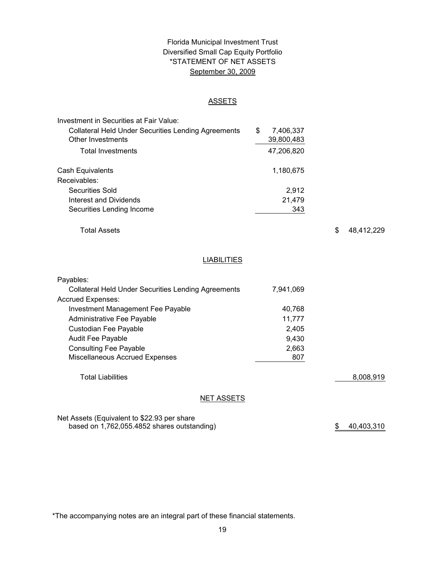# \*STATEMENT OF NET ASSETS Florida Municipal Investment Trust Diversified Small Cap Equity Portfolio September 30, 2009

#### ASSETS

| Investment in Securities at Fair Value:                    |                 |
|------------------------------------------------------------|-----------------|
| <b>Collateral Held Under Securities Lending Agreements</b> | \$<br>7,406,337 |
| Other Investments                                          | 39,800,483      |
| <b>Total Investments</b>                                   | 47,206,820      |
| Cash Equivalents                                           | 1,180,675       |
| Receivables:                                               |                 |
| Securities Sold                                            | 2.912           |
| Interest and Dividends                                     | 21,479          |
| Securities Lending Income                                  | 343             |

Total Assets

\$ 48,412,229

# LIABILITIES

| Payables:                                                  |           |           |
|------------------------------------------------------------|-----------|-----------|
| <b>Collateral Held Under Securities Lending Agreements</b> | 7,941,069 |           |
| <b>Accrued Expenses:</b>                                   |           |           |
| Investment Management Fee Payable                          | 40.768    |           |
| Administrative Fee Payable                                 | 11.777    |           |
| Custodian Fee Payable                                      | 2,405     |           |
| <b>Audit Fee Payable</b>                                   | 9,430     |           |
| <b>Consulting Fee Payable</b>                              | 2,663     |           |
| <b>Miscellaneous Accrued Expenses</b>                      | 807       |           |
|                                                            |           |           |
| <b>Total Liabilities</b>                                   |           | 8,008,919 |
|                                                            |           |           |
|                                                            |           |           |

# NET ASSETS

Net Assets (Equivalent to \$22.93 per share based on 1,762,055.4852 shares outstanding)  $$40,403,310$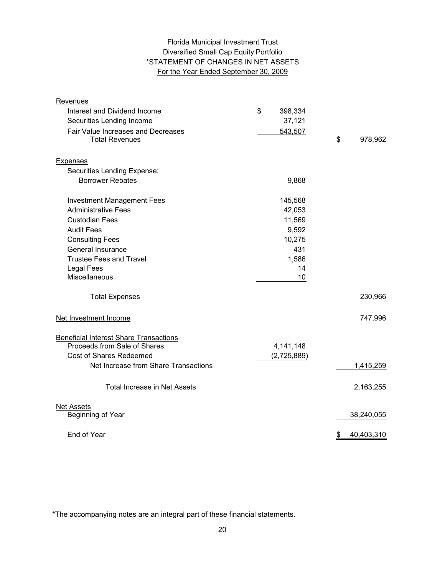# Florida Municipal Investment Trust Diversified Small Cap Equity Portfolio \*STATEMENT OF CHANGES IN NET ASSETS For the Year Ended September 30, 2009

| <b>Revenues</b>                                             |               |                  |
|-------------------------------------------------------------|---------------|------------------|
| Interest and Dividend Income                                | \$<br>398,334 |                  |
| Securities Lending Income                                   | 37,121        |                  |
| Fair Value Increases and Decreases<br><b>Total Revenues</b> | 543,507       | \$<br>978,962    |
| <b>Expenses</b>                                             |               |                  |
| Securities Lending Expense:                                 |               |                  |
| <b>Borrower Rebates</b>                                     | 9,868         |                  |
| <b>Investment Management Fees</b>                           | 145,568       |                  |
| <b>Administrative Fees</b>                                  | 42,053        |                  |
| <b>Custodian Fees</b>                                       | 11,569        |                  |
| <b>Audit Fees</b>                                           | 9,592         |                  |
| <b>Consulting Fees</b>                                      | 10,275        |                  |
| General Insurance                                           | 431           |                  |
| <b>Trustee Fees and Travel</b>                              | 1,586         |                  |
| Legal Fees                                                  | 14            |                  |
| Miscellaneous                                               | 10            |                  |
| <b>Total Expenses</b>                                       |               | 230,966          |
| Net Investment Income                                       |               | 747,996          |
| <b>Beneficial Interest Share Transactions</b>               |               |                  |
| Proceeds from Sale of Shares                                | 4,141,148     |                  |
| <b>Cost of Shares Redeemed</b>                              | (2,725,889)   |                  |
| Net Increase from Share Transactions                        |               | 1,415,259        |
| <b>Total Increase in Net Assets</b>                         |               | 2,163,255        |
| <b>Net Assets</b>                                           |               |                  |
| Beginning of Year                                           |               | 38,240,055       |
| End of Year                                                 |               | \$<br>40,403,310 |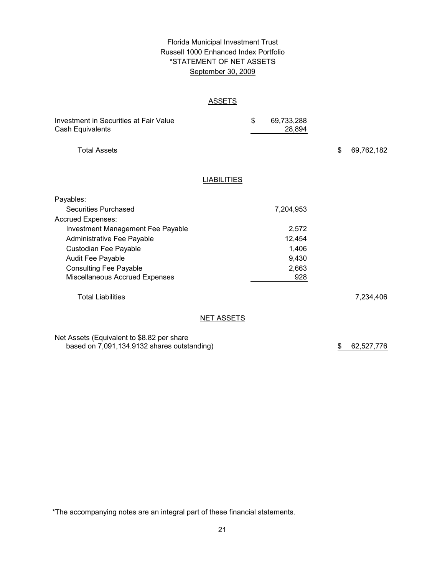# Florida Municipal Investment Trust Russell 1000 Enhanced Index Portfolio September 30, 2009 \*STATEMENT OF NET ASSETS

#### ASSETS

| Investment in Securities at Fair Value<br>Cash Equivalents                                |                    | \$<br>69,733,288<br>28,894 |                  |
|-------------------------------------------------------------------------------------------|--------------------|----------------------------|------------------|
| <b>Total Assets</b>                                                                       |                    |                            | \$<br>69,762,182 |
|                                                                                           | <b>LIABILITIES</b> |                            |                  |
| Payables:                                                                                 |                    |                            |                  |
| <b>Securities Purchased</b>                                                               |                    | 7,204,953                  |                  |
| <b>Accrued Expenses:</b>                                                                  |                    |                            |                  |
| <b>Investment Management Fee Payable</b>                                                  |                    | 2,572                      |                  |
| Administrative Fee Payable                                                                |                    | 12,454                     |                  |
| Custodian Fee Payable                                                                     |                    | 1,406                      |                  |
| <b>Audit Fee Payable</b>                                                                  |                    | 9,430                      |                  |
| <b>Consulting Fee Payable</b>                                                             |                    | 2,663                      |                  |
| Miscellaneous Accrued Expenses                                                            |                    | 928                        |                  |
| <b>Total Liabilities</b>                                                                  |                    |                            | 7,234,406        |
|                                                                                           | <b>NET ASSETS</b>  |                            |                  |
| Net Assets (Equivalent to \$8.82 per share<br>based on 7,091,134.9132 shares outstanding) |                    |                            | \$<br>62,527,776 |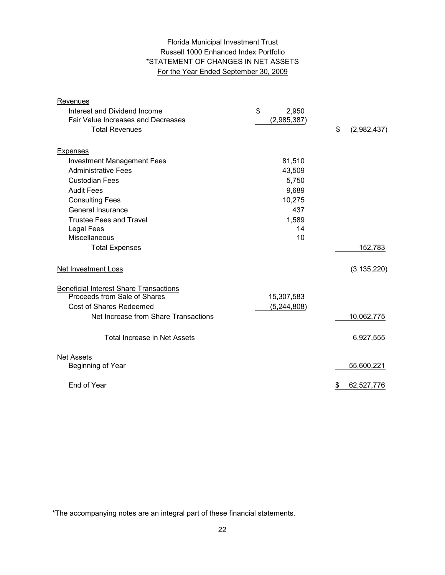# Florida Municipal Investment Trust Russell 1000 Enhanced Index Portfolio \*STATEMENT OF CHANGES IN NET ASSETS For the Year Ended September 30, 2009

| Revenues                                      |               |                   |
|-----------------------------------------------|---------------|-------------------|
| Interest and Dividend Income                  | \$<br>2,950   |                   |
| Fair Value Increases and Decreases            | (2,985,387)   |                   |
| <b>Total Revenues</b>                         |               | \$<br>(2,982,437) |
|                                               |               |                   |
| <b>Expenses</b>                               |               |                   |
| <b>Investment Management Fees</b>             | 81,510        |                   |
| <b>Administrative Fees</b>                    | 43,509        |                   |
| <b>Custodian Fees</b>                         | 5,750         |                   |
| <b>Audit Fees</b>                             | 9,689         |                   |
| <b>Consulting Fees</b>                        | 10,275        |                   |
| <b>General Insurance</b>                      | 437           |                   |
| <b>Trustee Fees and Travel</b>                | 1,589         |                   |
| Legal Fees                                    | 14            |                   |
| Miscellaneous                                 | 10            |                   |
| <b>Total Expenses</b>                         |               | 152,783           |
| Net Investment Loss                           |               | (3, 135, 220)     |
| <b>Beneficial Interest Share Transactions</b> |               |                   |
| Proceeds from Sale of Shares                  | 15,307,583    |                   |
| <b>Cost of Shares Redeemed</b>                | (5, 244, 808) |                   |
| Net Increase from Share Transactions          |               | 10,062,775        |
| Total Increase in Net Assets                  |               | 6,927,555         |
| <b>Net Assets</b>                             |               |                   |
| Beginning of Year                             |               | 55,600,221        |
| End of Year                                   |               | 62,527,776<br>\$  |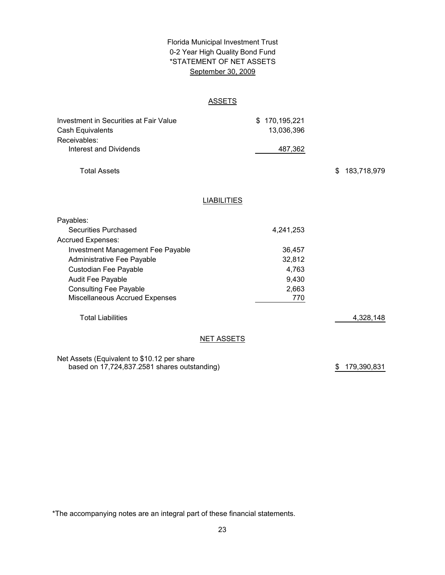# Florida Municipal Investment Trust September 30, 2009 0-2 Year High Quality Bond Fund \*STATEMENT OF NET ASSETS

# **ASSETS**

| Investment in Securities at Fair Value       | 170,195,221<br>\$  |                   |  |
|----------------------------------------------|--------------------|-------------------|--|
| Cash Equivalents                             | 13,036,396         |                   |  |
| Receivables:                                 |                    |                   |  |
| <b>Interest and Dividends</b>                | 487,362            |                   |  |
| <b>Total Assets</b>                          |                    | 183,718,979<br>\$ |  |
|                                              | <b>LIABILITIES</b> |                   |  |
| Payables:                                    |                    |                   |  |
| <b>Securities Purchased</b>                  | 4,241,253          |                   |  |
| <b>Accrued Expenses:</b>                     |                    |                   |  |
| Investment Management Fee Payable            | 36,457             |                   |  |
| Administrative Fee Payable                   | 32,812             |                   |  |
| Custodian Fee Payable                        | 4,763              |                   |  |
| Audit Fee Payable                            | 9,430              |                   |  |
| <b>Consulting Fee Payable</b>                | 2,663              |                   |  |
| Miscellaneous Accrued Expenses               | 770                |                   |  |
| <b>Total Liabilities</b>                     |                    | 4,328,148         |  |
|                                              | <b>NET ASSETS</b>  |                   |  |
| Net Assets (Equivalent to \$10.12 per share  |                    |                   |  |
| based on 17,724,837.2581 shares outstanding) |                    | 179,390,831<br>\$ |  |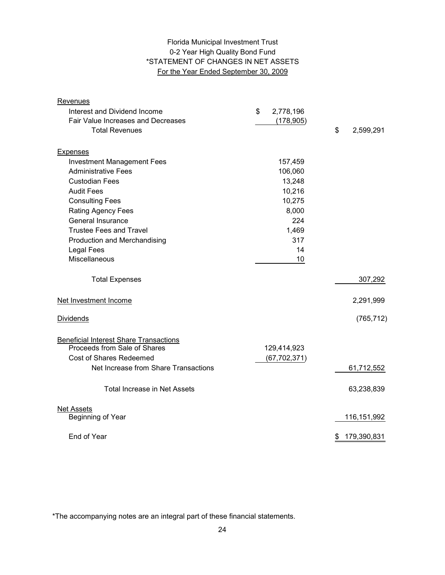# 0-2 Year High Quality Bond Fund \*STATEMENT OF CHANGES IN NET ASSETS For the Year Ended September 30, 2009 Florida Municipal Investment Trust

| Revenues                                      |                 |                   |
|-----------------------------------------------|-----------------|-------------------|
| Interest and Dividend Income                  | \$<br>2,778,196 |                   |
| Fair Value Increases and Decreases            | (178, 905)      |                   |
| <b>Total Revenues</b>                         |                 | \$<br>2,599,291   |
| <b>Expenses</b>                               |                 |                   |
| <b>Investment Management Fees</b>             | 157,459         |                   |
| <b>Administrative Fees</b>                    | 106,060         |                   |
| <b>Custodian Fees</b>                         | 13,248          |                   |
| <b>Audit Fees</b>                             | 10,216          |                   |
| <b>Consulting Fees</b>                        | 10,275          |                   |
| <b>Rating Agency Fees</b>                     | 8,000           |                   |
| General Insurance                             | 224             |                   |
| <b>Trustee Fees and Travel</b>                | 1,469           |                   |
| Production and Merchandising                  | 317             |                   |
| <b>Legal Fees</b>                             | 14              |                   |
| Miscellaneous                                 | 10              |                   |
| <b>Total Expenses</b>                         |                 | 307,292           |
| Net Investment Income                         |                 | 2,291,999         |
| <b>Dividends</b>                              |                 | (765, 712)        |
| <b>Beneficial Interest Share Transactions</b> |                 |                   |
| Proceeds from Sale of Shares                  | 129,414,923     |                   |
| Cost of Shares Redeemed                       | (67, 702, 371)  |                   |
| Net Increase from Share Transactions          |                 | 61,712,552        |
| <b>Total Increase in Net Assets</b>           |                 | 63,238,839        |
| <b>Net Assets</b>                             |                 |                   |
| Beginning of Year                             |                 | 116, 151, 992     |
| End of Year                                   |                 | 179,390,831<br>\$ |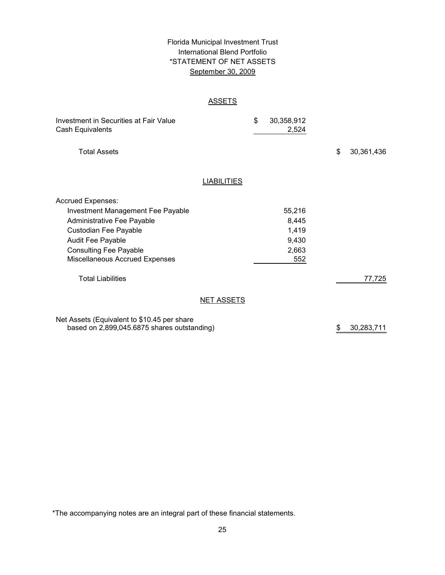# \*STATEMENT OF NET ASSETS Florida Municipal Investment Trust International Blend Portfolio September 30, 2009

#### ASSETS

| Investment in Securities at Fair Value<br>Cash Equivalents                                                                                                                                                   |                    | \$<br>30,358,912<br>2,524                         |                  |
|--------------------------------------------------------------------------------------------------------------------------------------------------------------------------------------------------------------|--------------------|---------------------------------------------------|------------------|
| <b>Total Assets</b>                                                                                                                                                                                          |                    |                                                   | \$<br>30,361,436 |
|                                                                                                                                                                                                              | <b>LIABILITIES</b> |                                                   |                  |
| <b>Accrued Expenses:</b><br>Investment Management Fee Payable<br>Administrative Fee Payable<br>Custodian Fee Payable<br>Audit Fee Payable<br><b>Consulting Fee Payable</b><br>Miscellaneous Accrued Expenses |                    | 55,216<br>8,445<br>1,419<br>9,430<br>2,663<br>552 |                  |
| <b>Total Liabilities</b>                                                                                                                                                                                     |                    |                                                   | 77,725           |
|                                                                                                                                                                                                              | <b>NET ASSETS</b>  |                                                   |                  |
| Net Assets (Fouvalent to \$10.45 per share                                                                                                                                                                   |                    |                                                   |                  |

Net Assets (Equivalent to \$10.45 per share based on 2,899,045.6875 shares outstanding)

\$ 30,283,711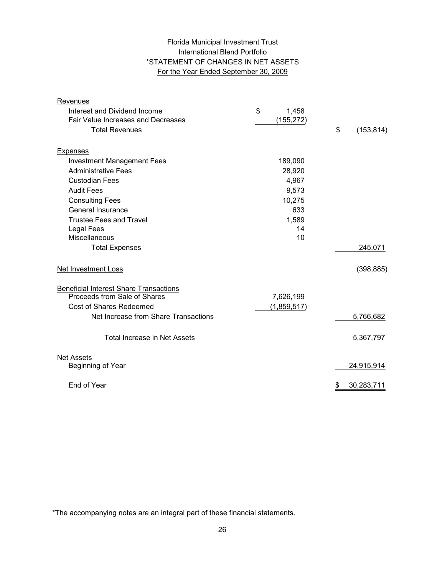# Florida Municipal Investment Trust International Blend Portfolio \*STATEMENT OF CHANGES IN NET ASSETS For the Year Ended September 30, 2009

| Revenues                                      |             |                  |
|-----------------------------------------------|-------------|------------------|
| Interest and Dividend Income                  | \$<br>1,458 |                  |
| Fair Value Increases and Decreases            | (155, 272)  |                  |
| <b>Total Revenues</b>                         |             | \$<br>(153, 814) |
| <b>Expenses</b>                               |             |                  |
| <b>Investment Management Fees</b>             | 189,090     |                  |
| <b>Administrative Fees</b>                    | 28,920      |                  |
| <b>Custodian Fees</b>                         | 4,967       |                  |
| <b>Audit Fees</b>                             | 9,573       |                  |
| <b>Consulting Fees</b>                        | 10,275      |                  |
| General Insurance                             | 633         |                  |
| <b>Trustee Fees and Travel</b>                | 1,589       |                  |
| <b>Legal Fees</b>                             | 14          |                  |
| Miscellaneous                                 | 10          |                  |
| <b>Total Expenses</b>                         |             | 245,071          |
| Net Investment Loss                           |             | (398, 885)       |
| <b>Beneficial Interest Share Transactions</b> |             |                  |
| Proceeds from Sale of Shares                  | 7,626,199   |                  |
| Cost of Shares Redeemed                       | (1,859,517) |                  |
| Net Increase from Share Transactions          |             | 5,766,682        |
| <b>Total Increase in Net Assets</b>           |             | 5,367,797        |
| <b>Net Assets</b>                             |             |                  |
| Beginning of Year                             |             | 24,915,914       |
| End of Year                                   |             | \$<br>30,283,711 |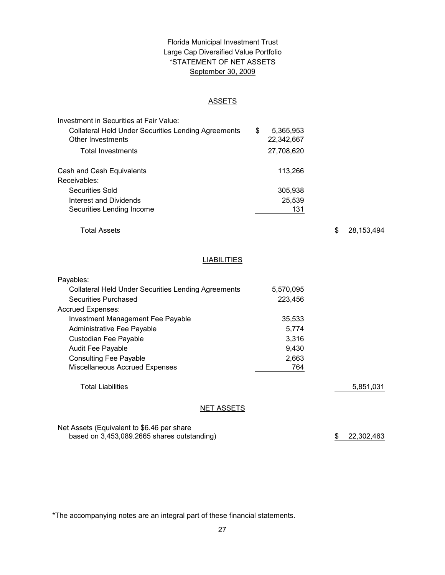# \*STATEMENT OF NET ASSETS Florida Municipal Investment Trust Large Cap Diversified Value Portfolio September 30, 2009

#### ASSETS

| Investment in Securities at Fair Value:                    |                 |
|------------------------------------------------------------|-----------------|
| <b>Collateral Held Under Securities Lending Agreements</b> | \$<br>5,365,953 |
| Other Investments                                          | 22,342,667      |
| Total Investments                                          | 27,708,620      |
| Cash and Cash Equivalents                                  | 113,266         |
| Receivables:                                               |                 |
| <b>Securities Sold</b>                                     | 305,938         |
| Interest and Dividends                                     | 25,539          |
| Securities Lending Income                                  | 131             |

Total Assets

\$ 28,153,494

# **LIABILITIES**

| Payables:                                                  |           |           |
|------------------------------------------------------------|-----------|-----------|
| <b>Collateral Held Under Securities Lending Agreements</b> | 5,570,095 |           |
| Securities Purchased                                       | 223.456   |           |
| <b>Accrued Expenses:</b>                                   |           |           |
| Investment Management Fee Payable                          | 35,533    |           |
| Administrative Fee Payable                                 | 5,774     |           |
| Custodian Fee Payable                                      | 3.316     |           |
| <b>Audit Fee Payable</b>                                   | 9,430     |           |
| <b>Consulting Fee Payable</b>                              | 2,663     |           |
| Miscellaneous Accrued Expenses                             | 764       |           |
|                                                            |           |           |
| <b>Total Liabilities</b>                                   |           | 5,851,031 |
|                                                            |           |           |
| NET ASSETS                                                 |           |           |
|                                                            |           |           |

Net Assets (Equivalent to \$6.46 per share based on 3,453,089.2665 shares outstanding)

\$ 22,302,463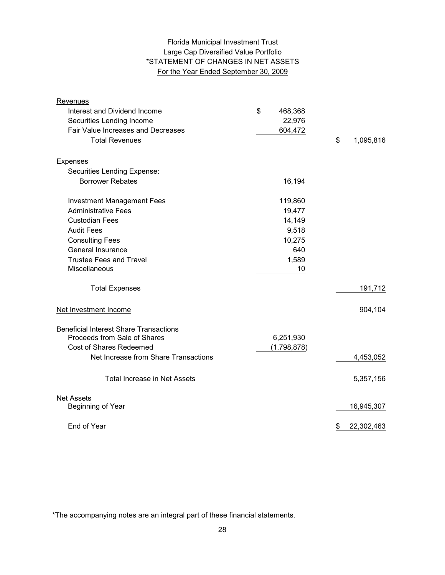# Large Cap Diversified Value Portfolio \*STATEMENT OF CHANGES IN NET ASSETS For the Year Ended September 30, 2009 Florida Municipal Investment Trust

| Revenues                                      |               |                  |
|-----------------------------------------------|---------------|------------------|
| Interest and Dividend Income                  | \$<br>468,368 |                  |
| Securities Lending Income                     | 22,976        |                  |
| Fair Value Increases and Decreases            | 604,472       |                  |
| <b>Total Revenues</b>                         |               | \$<br>1,095,816  |
| <b>Expenses</b>                               |               |                  |
| Securities Lending Expense:                   |               |                  |
| <b>Borrower Rebates</b>                       | 16,194        |                  |
| <b>Investment Management Fees</b>             | 119,860       |                  |
| <b>Administrative Fees</b>                    | 19,477        |                  |
| <b>Custodian Fees</b>                         | 14,149        |                  |
| <b>Audit Fees</b>                             | 9,518         |                  |
| <b>Consulting Fees</b>                        | 10,275        |                  |
| General Insurance                             | 640           |                  |
| <b>Trustee Fees and Travel</b>                | 1,589         |                  |
| Miscellaneous                                 | 10            |                  |
| <b>Total Expenses</b>                         |               | 191,712          |
| Net Investment Income                         |               | 904,104          |
| <b>Beneficial Interest Share Transactions</b> |               |                  |
| Proceeds from Sale of Shares                  | 6,251,930     |                  |
| Cost of Shares Redeemed                       | (1,798,878)   |                  |
| Net Increase from Share Transactions          |               | 4,453,052        |
| <b>Total Increase in Net Assets</b>           |               | 5,357,156        |
| <b>Net Assets</b>                             |               |                  |
| Beginning of Year                             |               | 16,945,307       |
| End of Year                                   |               | \$<br>22,302,463 |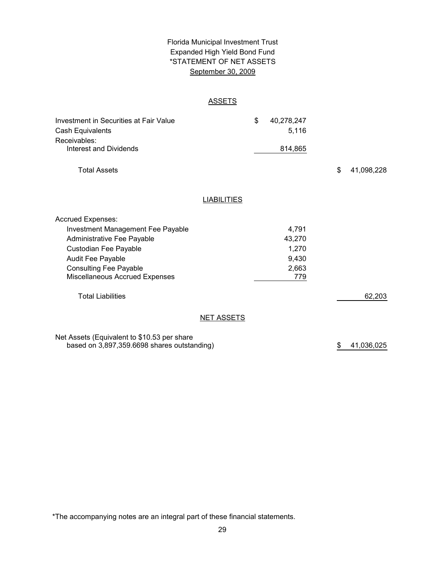# \*STATEMENT OF NET ASSETS Florida Municipal Investment Trust Expanded High Yield Bond Fund September 30, 2009

#### ASSETS

| Investment in Securities at Fair Value<br>Cash Equivalents |                    | \$<br>40,278,247<br>5,116 |                  |
|------------------------------------------------------------|--------------------|---------------------------|------------------|
| Receivables:                                               |                    |                           |                  |
| Interest and Dividends                                     |                    | 814,865                   |                  |
| <b>Total Assets</b>                                        |                    |                           | \$<br>41,098,228 |
|                                                            |                    |                           |                  |
|                                                            | <b>LIABILITIES</b> |                           |                  |
| <b>Accrued Expenses:</b>                                   |                    |                           |                  |
| <b>Investment Management Fee Payable</b>                   |                    | 4,791                     |                  |
| Administrative Fee Payable                                 |                    | 43,270                    |                  |
| Custodian Fee Payable                                      |                    | 1,270                     |                  |
| Audit Fee Payable                                          |                    | 9,430                     |                  |
| <b>Consulting Fee Payable</b>                              |                    | 2,663                     |                  |
| Miscellaneous Accrued Expenses                             |                    | 779                       |                  |
| <b>Total Liabilities</b>                                   |                    |                           | 62,203           |
|                                                            | <b>NET ASSETS</b>  |                           |                  |
| Net Assets (Equivalent to \$10.53 per share                |                    |                           |                  |
| based on 3,897,359.6698 shares outstanding)                |                    |                           | \$<br>41,036,025 |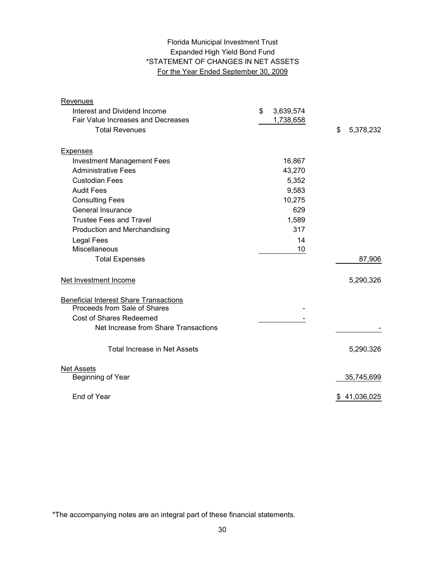# Expanded High Yield Bond Fund \*STATEMENT OF CHANGES IN NET ASSETS For the Year Ended September 30, 2009 Florida Municipal Investment Trust

| Revenues                                                                      |                 |                 |
|-------------------------------------------------------------------------------|-----------------|-----------------|
| Interest and Dividend Income                                                  | \$<br>3,639,574 |                 |
| <b>Fair Value Increases and Decreases</b>                                     | 1,738,658       |                 |
| <b>Total Revenues</b>                                                         |                 | \$<br>5,378,232 |
| <b>Expenses</b>                                                               |                 |                 |
| <b>Investment Management Fees</b>                                             | 16,867          |                 |
| <b>Administrative Fees</b>                                                    | 43,270          |                 |
| <b>Custodian Fees</b>                                                         | 5,352           |                 |
| <b>Audit Fees</b>                                                             | 9,583           |                 |
| <b>Consulting Fees</b>                                                        | 10,275          |                 |
| General Insurance                                                             | 629             |                 |
| Trustee Fees and Travel                                                       | 1,589           |                 |
| Production and Merchandising                                                  | 317             |                 |
| <b>Legal Fees</b>                                                             | 14              |                 |
| Miscellaneous                                                                 | 10              |                 |
| <b>Total Expenses</b>                                                         |                 | 87,906          |
| Net Investment Income                                                         |                 | 5,290,326       |
| <b>Beneficial Interest Share Transactions</b><br>Proceeds from Sale of Shares |                 |                 |
| <b>Cost of Shares Redeemed</b>                                                |                 |                 |
| Net Increase from Share Transactions                                          |                 |                 |
| Total Increase in Net Assets                                                  |                 | 5,290,326       |
| <b>Net Assets</b><br>Beginning of Year                                        |                 | 35,745,699      |
|                                                                               |                 |                 |
| End of Year                                                                   |                 | \$41,036,025    |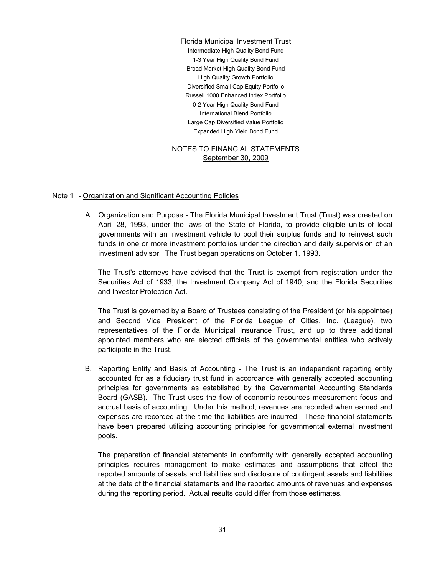Large Cap Diversified Value Portfolio Expanded High Yield Bond Fund Russell 1000 Enhanced Index Portfolio 0-2 Year High Quality Bond Fund International Blend Portfolio Florida Municipal Investment Trust Intermediate High Quality Bond Fund 1-3 Year High Quality Bond Fund Broad Market High Quality Bond Fund High Quality Growth Portfolio Diversified Small Cap Equity Portfolio

#### NOTES TO FINANCIAL STATEMENTS September 30, 2009

#### Note 1 - Organization and Significant Accounting Policies

A. Organization and Purpose - The Florida Municipal Investment Trust (Trust) was created on April 28, 1993, under the laws of the State of Florida, to provide eligible units of local governments with an investment vehicle to pool their surplus funds and to reinvest such funds in one or more investment portfolios under the direction and daily supervision of an investment advisor. The Trust began operations on October 1, 1993.

The Trust's attorneys have advised that the Trust is exempt from registration under the Securities Act of 1933, the Investment Company Act of 1940, and the Florida Securities and Investor Protection Act.

The Trust is governed by a Board of Trustees consisting of the President (or his appointee) and Second Vice President of the Florida League of Cities, Inc. (League), two representatives of the Florida Municipal Insurance Trust, and up to three additional appointed members who are elected officials of the governmental entities who actively participate in the Trust.

B. Reporting Entity and Basis of Accounting - The Trust is an independent reporting entity accounted for as a fiduciary trust fund in accordance with generally accepted accounting principles for governments as established by the Governmental Accounting Standards Board (GASB). The Trust uses the flow of economic resources measurement focus and accrual basis of accounting. Under this method, revenues are recorded when earned and expenses are recorded at the time the liabilities are incurred. These financial statements have been prepared utilizing accounting principles for governmental external investment pools.

The preparation of financial statements in conformity with generally accepted accounting principles requires management to make estimates and assumptions that affect the reported amounts of assets and liabilities and disclosure of contingent assets and liabilities at the date of the financial statements and the reported amounts of revenues and expenses during the reporting period. Actual results could differ from those estimates.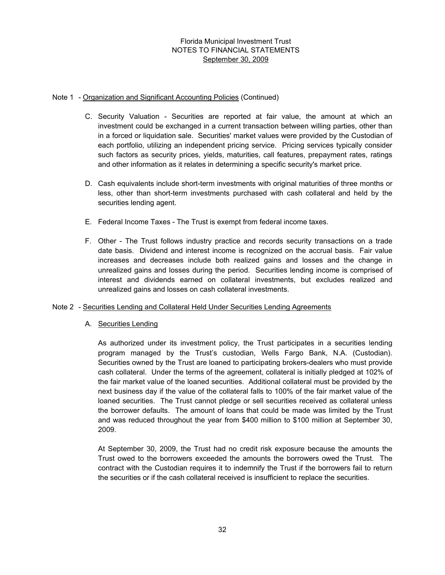#### Note 1 - Organization and Significant Accounting Policies (Continued)

- C. Security Valuation Securities are reported at fair value, the amount at which an investment could be exchanged in a current transaction between willing parties, other than in a forced or liquidation sale. Securities' market values were provided by the Custodian of each portfolio, utilizing an independent pricing service. Pricing services typically consider such factors as security prices, yields, maturities, call features, prepayment rates, ratings and other information as it relates in determining a specific security's market price.
- D. Cash equivalents include short-term investments with original maturities of three months or less, other than short-term investments purchased with cash collateral and held by the securities lending agent.
- E. Federal Income Taxes The Trust is exempt from federal income taxes.
- F. Other The Trust follows industry practice and records security transactions on a trade date basis. Dividend and interest income is recognized on the accrual basis. Fair value increases and decreases include both realized gains and losses and the change in unrealized gains and losses during the period. Securities lending income is comprised of interest and dividends earned on collateral investments, but excludes realized and unrealized gains and losses on cash collateral investments.

## Note 2 - Securities Lending and Collateral Held Under Securities Lending Agreements

## A. Securities Lending

As authorized under its investment policy, the Trust participates in a securities lending program managed by the Trust's custodian, Wells Fargo Bank, N.A. (Custodian). Securities owned by the Trust are loaned to participating brokers-dealers who must provide cash collateral. Under the terms of the agreement, collateral is initially pledged at 102% of the fair market value of the loaned securities. Additional collateral must be provided by the next business day if the value of the collateral falls to 100% of the fair market value of the loaned securities. The Trust cannot pledge or sell securities received as collateral unless the borrower defaults. The amount of loans that could be made was limited by the Trust and was reduced throughout the year from \$400 million to \$100 million at September 30, 2009.

At September 30, 2009, the Trust had no credit risk exposure because the amounts the Trust owed to the borrowers exceeded the amounts the borrowers owed the Trust. The contract with the Custodian requires it to indemnify the Trust if the borrowers fail to return the securities or if the cash collateral received is insufficient to replace the securities.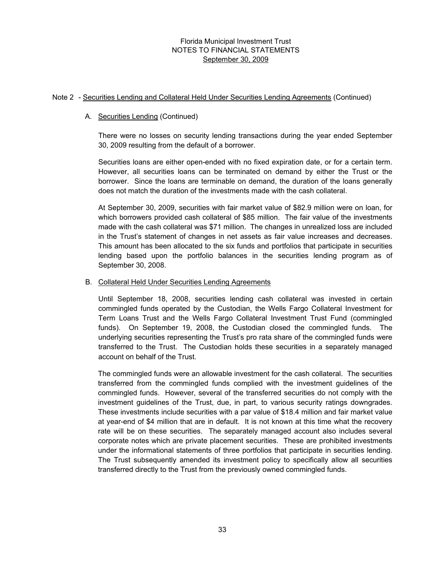#### Note 2 - Securities Lending and Collateral Held Under Securities Lending Agreements (Continued)

## A. Securities Lending (Continued)

There were no losses on security lending transactions during the year ended September 30, 2009 resulting from the default of a borrower.

Securities loans are either open-ended with no fixed expiration date, or for a certain term. However, all securities loans can be terminated on demand by either the Trust or the borrower. Since the loans are terminable on demand, the duration of the loans generally does not match the duration of the investments made with the cash collateral.

At September 30, 2009, securities with fair market value of \$82.9 million were on loan, for which borrowers provided cash collateral of \$85 million. The fair value of the investments made with the cash collateral was \$71 million. The changes in unrealized loss are included in the Trust's statement of changes in net assets as fair value increases and decreases. This amount has been allocated to the six funds and portfolios that participate in securities lending based upon the portfolio balances in the securities lending program as of September 30, 2008.

#### B. Collateral Held Under Securities Lending Agreements

Until September 18, 2008, securities lending cash collateral was invested in certain commingled funds operated by the Custodian, the Wells Fargo Collateral Investment for Term Loans Trust and the Wells Fargo Collateral Investment Trust Fund (commingled funds). On September 19, 2008, the Custodian closed the commingled funds. The underlying securities representing the Trust's pro rata share of the commingled funds were transferred to the Trust. The Custodian holds these securities in a separately managed account on behalf of the Trust.

The commingled funds were an allowable investment for the cash collateral. The securities transferred from the commingled funds complied with the investment guidelines of the commingled funds. However, several of the transferred securities do not comply with the investment guidelines of the Trust, due, in part, to various security ratings downgrades. These investments include securities with a par value of \$18.4 million and fair market value at year-end of \$4 million that are in default. It is not known at this time what the recovery rate will be on these securities. The separately managed account also includes several corporate notes which are private placement securities. These are prohibited investments under the informational statements of three portfolios that participate in securities lending. The Trust subsequently amended its investment policy to specifically allow all securities transferred directly to the Trust from the previously owned commingled funds.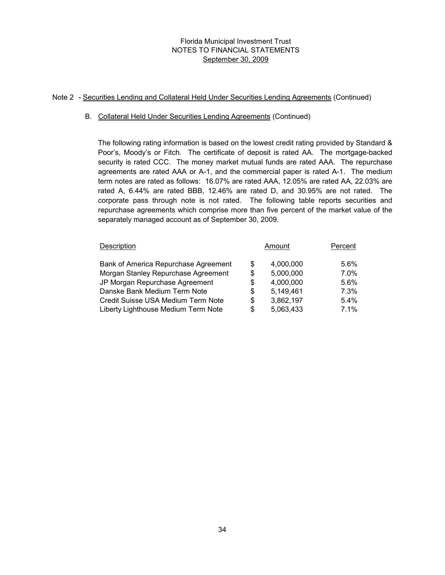## Note 2 - Securities Lending and Collateral Held Under Securities Lending Agreements (Continued)

#### B. Collateral Held Under Securities Lending Agreements (Continued)

The following rating information is based on the lowest credit rating provided by Standard & Poor's, Moody's or Fitch. The certificate of deposit is rated AA. The mortgage-backed security is rated CCC. The money market mutual funds are rated AAA. The repurchase agreements are rated AAA or A-1, and the commercial paper is rated A-1. The medium term notes are rated as follows: 16.07% are rated AAA, 12.05% are rated AA, 22.03% are rated A, 6.44% are rated BBB, 12.46% are rated D, and 30.95% are not rated. The corporate pass through note is not rated. The following table reports securities and repurchase agreements which comprise more than five percent of the market value of the separately managed account as of September 30, 2009.

| Description                          | Amount          | Percent |
|--------------------------------------|-----------------|---------|
| Bank of America Repurchase Agreement | \$<br>4,000,000 | 5.6%    |
| Morgan Stanley Repurchase Agreement  | \$<br>5,000,000 | $7.0\%$ |
| JP Morgan Repurchase Agreement       | \$<br>4,000,000 | 5.6%    |
| Danske Bank Medium Term Note         | \$<br>5,149,461 | $7.3\%$ |
| Credit Suisse USA Medium Term Note   | \$<br>3,862,197 | $5.4\%$ |
| Liberty Lighthouse Medium Term Note  | \$<br>5,063,433 | 7.1%    |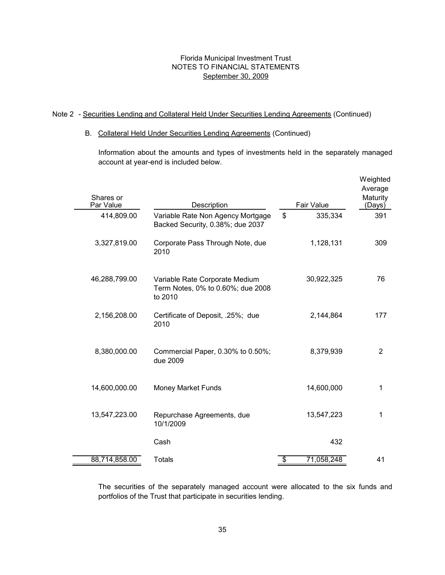## Note 2 - Securities Lending and Collateral Held Under Securities Lending Agreements (Continued)

#### B. Collateral Held Under Securities Lending Agreements (Continued)

Information about the amounts and types of investments held in the separately managed account at year-end is included below.

| Shares or<br>Par Value | Description                                                                    | Fair Value       | Weighted<br>Average<br>Maturity<br>(Days) |
|------------------------|--------------------------------------------------------------------------------|------------------|-------------------------------------------|
| 414,809.00             | Variable Rate Non Agency Mortgage<br>Backed Security, 0.38%; due 2037          | \$<br>335,334    | 391                                       |
| 3,327,819.00           | Corporate Pass Through Note, due<br>2010                                       | 1,128,131        | 309                                       |
| 46,288,799.00          | Variable Rate Corporate Medium<br>Term Notes, 0% to 0.60%; due 2008<br>to 2010 | 30,922,325       | 76                                        |
| 2,156,208.00           | Certificate of Deposit, .25%; due<br>2010                                      | 2,144,864        | 177                                       |
| 8,380,000.00           | Commercial Paper, 0.30% to 0.50%;<br>due 2009                                  | 8,379,939        | 2                                         |
| 14,600,000.00          | <b>Money Market Funds</b>                                                      | 14,600,000       | 1                                         |
| 13,547,223.00          | Repurchase Agreements, due<br>10/1/2009                                        | 13,547,223       | 1                                         |
|                        | Cash                                                                           | 432              |                                           |
| 88,714,858.00          | <b>Totals</b>                                                                  | \$<br>71,058,248 | 41                                        |

The securities of the separately managed account were allocated to the six funds and portfolios of the Trust that participate in securities lending.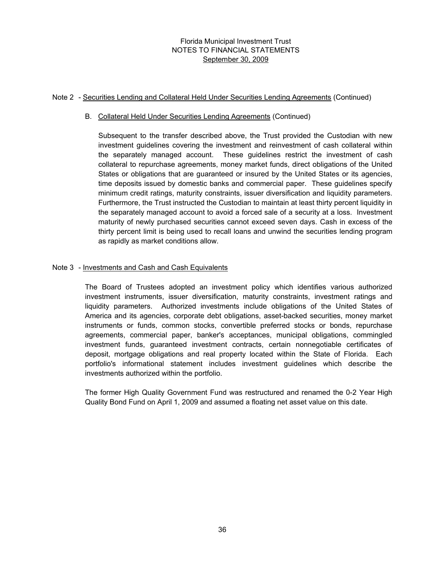#### Note 2 - Securities Lending and Collateral Held Under Securities Lending Agreements (Continued)

#### B. Collateral Held Under Securities Lending Agreements (Continued)

Subsequent to the transfer described above, the Trust provided the Custodian with new investment guidelines covering the investment and reinvestment of cash collateral within the separately managed account. These guidelines restrict the investment of cash collateral to repurchase agreements, money market funds, direct obligations of the United States or obligations that are guaranteed or insured by the United States or its agencies, time deposits issued by domestic banks and commercial paper. These guidelines specify minimum credit ratings, maturity constraints, issuer diversification and liquidity parameters. Furthermore, the Trust instructed the Custodian to maintain at least thirty percent liquidity in the separately managed account to avoid a forced sale of a security at a loss. Investment maturity of newly purchased securities cannot exceed seven days. Cash in excess of the thirty percent limit is being used to recall loans and unwind the securities lending program as rapidly as market conditions allow.

#### Note 3 - Investments and Cash and Cash Equivalents

The Board of Trustees adopted an investment policy which identifies various authorized investment instruments, issuer diversification, maturity constraints, investment ratings and liquidity parameters. Authorized investments include obligations of the United States of America and its agencies, corporate debt obligations, asset-backed securities, money market instruments or funds, common stocks, convertible preferred stocks or bonds, repurchase agreements, commercial paper, banker's acceptances, municipal obligations, commingled investment funds, guaranteed investment contracts, certain nonnegotiable certificates of deposit, mortgage obligations and real property located within the State of Florida. Each portfolio's informational statement includes investment guidelines which describe the investments authorized within the portfolio.

The former High Quality Government Fund was restructured and renamed the 0-2 Year High Quality Bond Fund on April 1, 2009 and assumed a floating net asset value on this date.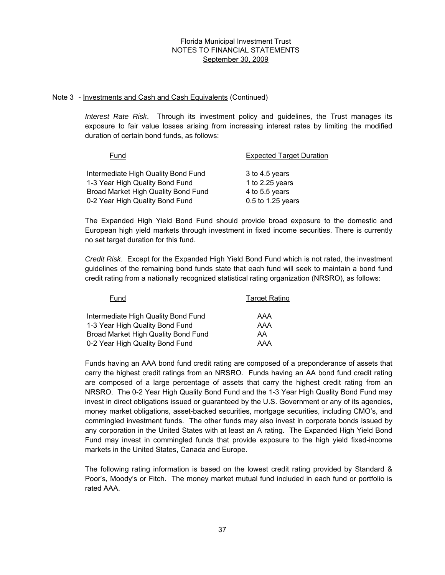#### Note 3 - Investments and Cash and Cash Equivalents (Continued)

*Interest Rate Risk*. Through its investment policy and guidelines, the Trust manages its exposure to fair value losses arising from increasing interest rates by limiting the modified duration of certain bond funds, as follows:

| Fund                                                                   | <b>Expected Target Duration</b>     |
|------------------------------------------------------------------------|-------------------------------------|
| Intermediate High Quality Bond Fund<br>1-3 Year High Quality Bond Fund | 3 to 4.5 years<br>1 to $2.25$ years |
| Broad Market High Quality Bond Fund                                    | 4 to 5.5 years                      |
| 0-2 Year High Quality Bond Fund                                        | 0.5 to 1.25 years                   |

The Expanded High Yield Bond Fund should provide broad exposure to the domestic and European high yield markets through investment in fixed income securities. There is currently no set target duration for this fund.

*Credit Risk*. Except for the Expanded High Yield Bond Fund which is not rated, the investment guidelines of the remaining bond funds state that each fund will seek to maintain a bond fund credit rating from a nationally recognized statistical rating organization (NRSRO), as follows:

| Fund                                | <b>Target Rating</b> |
|-------------------------------------|----------------------|
| Intermediate High Quality Bond Fund | AAA                  |
| 1-3 Year High Quality Bond Fund     | AAA                  |
| Broad Market High Quality Bond Fund | AA                   |
| 0-2 Year High Quality Bond Fund     | AAA                  |

Funds having an AAA bond fund credit rating are composed of a preponderance of assets that carry the highest credit ratings from an NRSRO. Funds having an AA bond fund credit rating are composed of a large percentage of assets that carry the highest credit rating from an NRSRO. The 0-2 Year High Quality Bond Fund and the 1-3 Year High Quality Bond Fund may invest in direct obligations issued or guaranteed by the U.S. Government or any of its agencies, money market obligations, asset-backed securities, mortgage securities, including CMO's, and commingled investment funds. The other funds may also invest in corporate bonds issued by any corporation in the United States with at least an A rating. The Expanded High Yield Bond Fund may invest in commingled funds that provide exposure to the high yield fixed-income markets in the United States, Canada and Europe.

The following rating information is based on the lowest credit rating provided by Standard & Poor's, Moody's or Fitch. The money market mutual fund included in each fund or portfolio is rated AAA.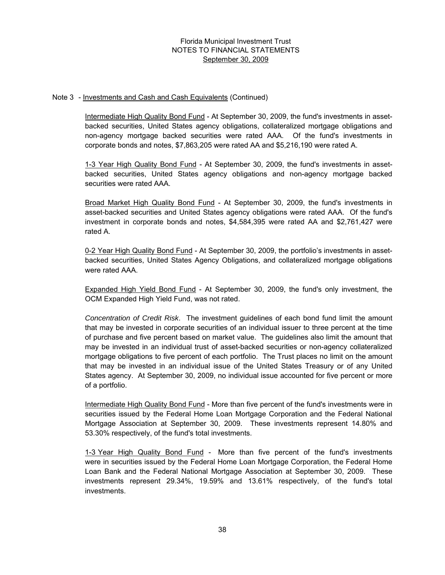#### Note 3 - Investments and Cash and Cash Equivalents (Continued)

Intermediate High Quality Bond Fund - At September 30, 2009, the fund's investments in assetbacked securities, United States agency obligations, collateralized mortgage obligations and non-agency mortgage backed securities were rated AAA. Of the fund's investments in corporate bonds and notes, \$7,863,205 were rated AA and \$5,216,190 were rated A.

1-3 Year High Quality Bond Fund - At September 30, 2009, the fund's investments in assetbacked securities, United States agency obligations and non-agency mortgage backed securities were rated AAA.

Broad Market High Quality Bond Fund - At September 30, 2009, the fund's investments in asset-backed securities and United States agency obligations were rated AAA. Of the fund's investment in corporate bonds and notes, \$4,584,395 were rated AA and \$2,761,427 were rated A.

0-2 Year High Quality Bond Fund - At September 30, 2009, the portfolio's investments in assetbacked securities, United States Agency Obligations, and collateralized mortgage obligations were rated AAA.

Expanded High Yield Bond Fund - At September 30, 2009, the fund's only investment, the OCM Expanded High Yield Fund, was not rated.

*Concentration of Credit Risk*. The investment guidelines of each bond fund limit the amount that may be invested in corporate securities of an individual issuer to three percent at the time of purchase and five percent based on market value. The guidelines also limit the amount that may be invested in an individual trust of asset-backed securities or non-agency collateralized mortgage obligations to five percent of each portfolio. The Trust places no limit on the amount that may be invested in an individual issue of the United States Treasury or of any United States agency. At September 30, 2009, no individual issue accounted for five percent or more of a portfolio.

Intermediate High Quality Bond Fund - More than five percent of the fund's investments were in securities issued by the Federal Home Loan Mortgage Corporation and the Federal National Mortgage Association at September 30, 2009. These investments represent 14.80% and 53.30% respectively, of the fund's total investments.

1-3 Year High Quality Bond Fund - More than five percent of the fund's investments were in securities issued by the Federal Home Loan Mortgage Corporation, the Federal Home Loan Bank and the Federal National Mortgage Association at September 30, 2009. These investments represent 29.34%, 19.59% and 13.61% respectively, of the fund's total investments.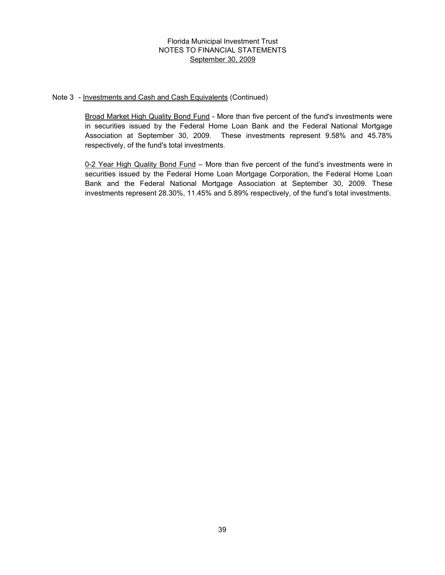#### Note 3 - Investments and Cash and Cash Equivalents (Continued)

Broad Market High Quality Bond Fund - More than five percent of the fund's investments were in securities issued by the Federal Home Loan Bank and the Federal National Mortgage Association at September 30, 2009. These investments represent 9.58% and 45.78% respectively, of the fund's total investments.

0-2 Year High Quality Bond Fund – More than five percent of the fund's investments were in securities issued by the Federal Home Loan Mortgage Corporation, the Federal Home Loan Bank and the Federal National Mortgage Association at September 30, 2009. These investments represent 28.30%, 11.45% and 5.89% respectively, of the fund's total investments.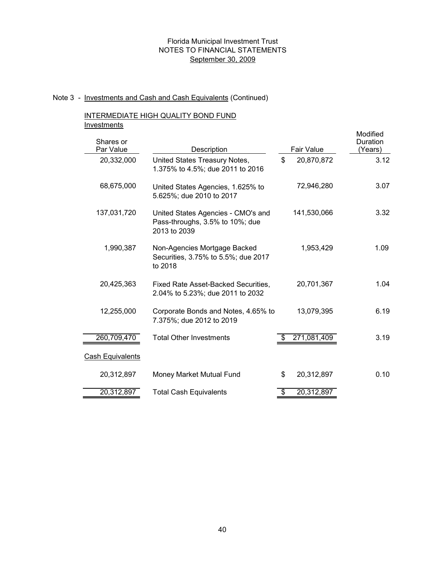#### Note 3 - Investments and Cash and Cash Equivalents (Continued)

# INTERMEDIATE HIGH QUALITY BOND FUND **Investments**

| . <b>. . .</b><br>Shares or |                                                                                       |              |             | Modified<br>Duration |
|-----------------------------|---------------------------------------------------------------------------------------|--------------|-------------|----------------------|
| Par Value                   | Description                                                                           |              | Fair Value  | (Years)              |
| 20,332,000                  | United States Treasury Notes,<br>1.375% to 4.5%; due 2011 to 2016                     | $\mathbb{S}$ | 20,870,872  | 3.12                 |
| 68,675,000                  | United States Agencies, 1.625% to<br>5.625%; due 2010 to 2017                         |              | 72,946,280  | 3.07                 |
| 137,031,720                 | United States Agencies - CMO's and<br>Pass-throughs, 3.5% to 10%; due<br>2013 to 2039 |              | 141,530,066 | 3.32                 |
| 1,990,387                   | Non-Agencies Mortgage Backed<br>Securities, 3.75% to 5.5%; due 2017<br>to 2018        |              | 1,953,429   | 1.09                 |
| 20,425,363                  | Fixed Rate Asset-Backed Securities,<br>2.04% to 5.23%; due 2011 to 2032               |              | 20,701,367  | 1.04                 |
| 12,255,000                  | Corporate Bonds and Notes, 4.65% to<br>7.375%; due 2012 to 2019                       |              | 13,079,395  | 6.19                 |
| 260,709,470                 | <b>Total Other Investments</b>                                                        |              | 271,081,409 | 3.19                 |
| <b>Cash Equivalents</b>     |                                                                                       |              |             |                      |
| 20,312,897                  | Money Market Mutual Fund                                                              | \$           | 20,312,897  | 0.10                 |
| 20,312,897                  | <b>Total Cash Equivalents</b>                                                         | \$           | 20,312,897  |                      |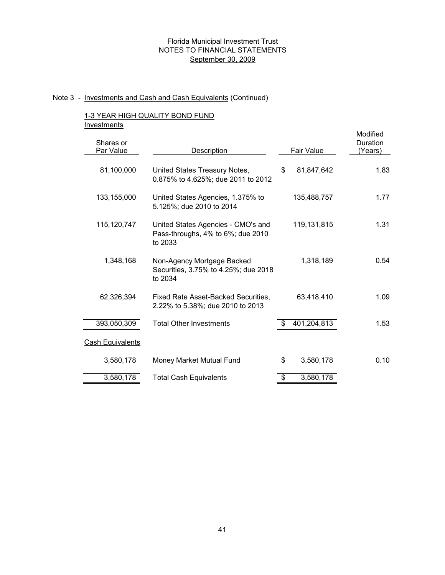# Note 3 - Investments and Cash and Cash Equivalents (Continued)

# 1-3 YEAR HIGH QUALITY BOND FUND **Investments**

| Shares or<br>Par Value  | Description                                                                        | <b>Fair Value</b> | Modified<br>Duration<br>(Years) |
|-------------------------|------------------------------------------------------------------------------------|-------------------|---------------------------------|
| 81,100,000              | United States Treasury Notes,<br>0.875% to 4.625%; due 2011 to 2012                | \$<br>81,847,642  | 1.83                            |
| 133,155,000             | United States Agencies, 1.375% to<br>5.125%; due 2010 to 2014                      | 135,488,757       | 1.77                            |
| 115,120,747             | United States Agencies - CMO's and<br>Pass-throughs, 4% to 6%; due 2010<br>to 2033 | 119,131,815       | 1.31                            |
| 1,348,168               | Non-Agency Mortgage Backed<br>Securities, 3.75% to 4.25%; due 2018<br>to 2034      | 1,318,189         | 0.54                            |
| 62,326,394              | Fixed Rate Asset-Backed Securities,<br>2.22% to 5.38%; due 2010 to 2013            | 63,418,410        | 1.09                            |
| 393,050,309             | <b>Total Other Investments</b>                                                     | 401,204,813       | 1.53                            |
| <b>Cash Equivalents</b> |                                                                                    |                   |                                 |
| 3,580,178               | Money Market Mutual Fund                                                           | \$<br>3,580,178   | 0.10                            |
| 3,580,178               | <b>Total Cash Equivalents</b>                                                      | \$<br>3,580,178   |                                 |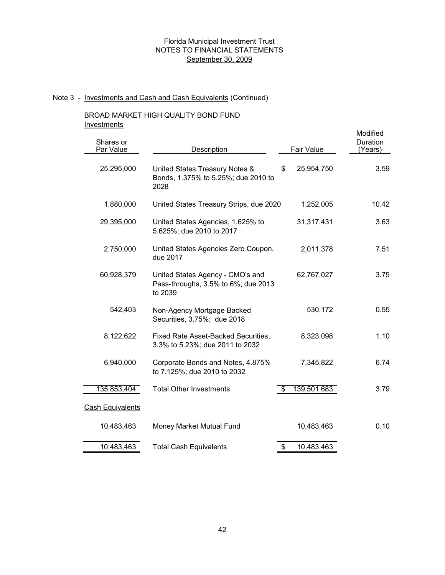# Note 3 - Investments and Cash and Cash Equivalents (Continued)

### BROAD MARKET HIGH QUALITY BOND FUND **Investments**

| Shares or<br>Par Value  | Description                                                                        |            | Fair Value  | Modified<br>Duration<br>(Years) |
|-------------------------|------------------------------------------------------------------------------------|------------|-------------|---------------------------------|
| 25,295,000              | United States Treasury Notes &<br>Bonds, 1.375% to 5.25%; due 2010 to<br>2028      | \$         | 25,954,750  | 3.59                            |
| 1,880,000               | United States Treasury Strips, due 2020                                            |            | 1,252,005   | 10.42                           |
| 29,395,000              | United States Agencies, 1.625% to<br>5.625%; due 2010 to 2017                      |            | 31,317,431  | 3.63                            |
| 2,750,000               | United States Agencies Zero Coupon,<br>due 2017                                    |            | 2,011,378   | 7.51                            |
| 60,928,379              | United States Agency - CMO's and<br>Pass-throughs, 3.5% to 6%; due 2013<br>to 2039 |            | 62,767,027  | 3.75                            |
| 542,403                 | Non-Agency Mortgage Backed<br>Securities, 3.75%; due 2018                          | 530,172    |             | 0.55                            |
| 8,122,622               | Fixed Rate Asset-Backed Securities,<br>3.3% to 5.23%; due 2011 to 2032             |            | 8,323,098   | 1.10                            |
| 6,940,000               | Corporate Bonds and Notes, 4.875%<br>to 7.125%; due 2010 to 2032                   | 7,345,822  |             | 6.74                            |
| 135,853,404             | <b>Total Other Investments</b>                                                     | \$         | 139,501,683 | 3.79                            |
| <b>Cash Equivalents</b> |                                                                                    |            |             |                                 |
| 10,483,463              | Money Market Mutual Fund                                                           | 10,483,463 |             | 0.10                            |
| 10,483,463              | <b>Total Cash Equivalents</b>                                                      | \$         | 10,483,463  |                                 |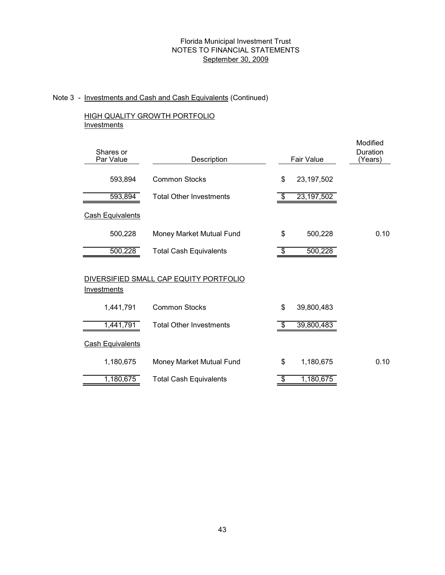# Note 3 - Investments and Cash and Cash Equivalents (Continued)

# HIGH QUALITY GROWTH PORTFOLIO **Investments**

| Shares or<br>Par Value  | Description                            |  |                          | Fair Value   | Modified<br>Duration<br>(Years) |
|-------------------------|----------------------------------------|--|--------------------------|--------------|---------------------------------|
| 593,894                 | <b>Common Stocks</b>                   |  | \$                       | 23, 197, 502 |                                 |
| 593,894                 | <b>Total Other Investments</b>         |  | \$                       | 23, 197, 502 |                                 |
| <b>Cash Equivalents</b> |                                        |  |                          |              |                                 |
| 500,228                 | Money Market Mutual Fund               |  | \$                       | 500,228      | 0.10                            |
| 500,228                 | <b>Total Cash Equivalents</b>          |  | $\overline{\mathcal{S}}$ | 500,228      |                                 |
| Investments             | DIVERSIFIED SMALL CAP EQUITY PORTFOLIO |  |                          |              |                                 |
| 1,441,791               | <b>Common Stocks</b>                   |  | \$                       | 39,800,483   |                                 |
| 1,441,791               | <b>Total Other Investments</b>         |  | \$                       | 39,800,483   |                                 |
| <b>Cash Equivalents</b> |                                        |  |                          |              |                                 |
| 1,180,675               | Money Market Mutual Fund               |  | \$                       | 1,180,675    | 0.10                            |
| 1,180,675               | <b>Total Cash Equivalents</b>          |  | \$                       | 1,180,675    |                                 |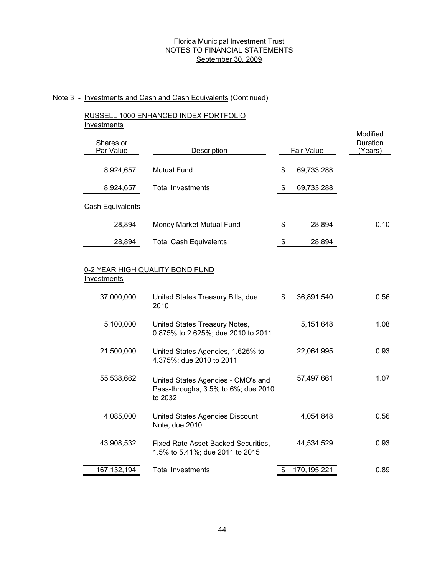# Note 3 - Investments and Cash and Cash Equivalents (Continued)

### RUSSELL 1000 ENHANCED INDEX PORTFOLIO **Investments**

| Shares or<br>Par Value  | Description                   |     | Fair Value | Modified<br>Duration<br>(Years) |
|-------------------------|-------------------------------|-----|------------|---------------------------------|
| 8,924,657               | <b>Mutual Fund</b>            | \$  | 69,733,288 |                                 |
| 8,924,657               | <b>Total Investments</b>      | -\$ | 69,733,288 |                                 |
| <b>Cash Equivalents</b> |                               |     |            |                                 |
| 28,894                  | Money Market Mutual Fund      | \$  | 28,894     | 0.10                            |
| 28,894                  | <b>Total Cash Equivalents</b> | \$. | 28,894     |                                 |

### 0-2 YEAR HIGH QUALITY BOND FUND **Investments**

| 37,000,000  | United States Treasury Bills, due<br>2010                                            | \$<br>36,891,540 | 0.56 |
|-------------|--------------------------------------------------------------------------------------|------------------|------|
| 5,100,000   | United States Treasury Notes,<br>0.875% to 2.625%; due 2010 to 2011                  | 5,151,648        | 1.08 |
| 21,500,000  | United States Agencies, 1.625% to<br>4.375%; due 2010 to 2011                        | 22,064,995       | 0.93 |
| 55,538,662  | United States Agencies - CMO's and<br>Pass-throughs, 3.5% to 6%; due 2010<br>to 2032 | 57,497,661       | 1.07 |
| 4,085,000   | United States Agencies Discount<br>Note, due 2010                                    | 4,054,848        | 0.56 |
| 43,908,532  | Fixed Rate Asset-Backed Securities,<br>1.5% to 5.41%; due 2011 to 2015               | 44,534,529       | 0.93 |
| 167,132,194 | <b>Total Investments</b>                                                             | 170,195,22       | 0.89 |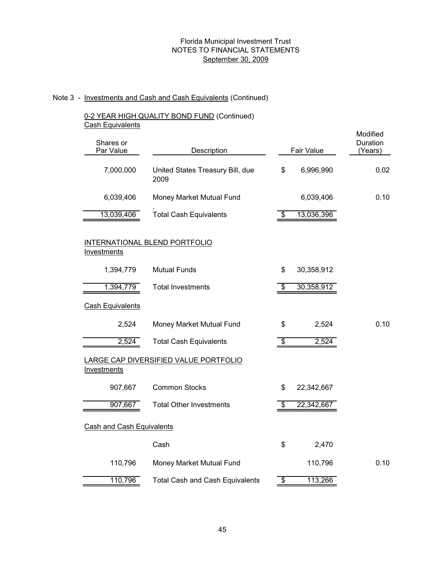# Note 3 - Investments and Cash and Cash Equivalents (Continued)

# 0-2 YEAR HIGH QUALITY BOND FUND (Continued) Cash Equivalents

| Shares or<br>Par Value           | Description                              | Fair Value |            |      |  |  |
|----------------------------------|------------------------------------------|------------|------------|------|--|--|
| 7,000,000                        | United States Treasury Bill, due<br>2009 | \$         | 6,996,990  | 0.02 |  |  |
| 6,039,406                        | Money Market Mutual Fund                 |            | 6,039,406  | 0.10 |  |  |
| 13,039,406                       | <b>Total Cash Equivalents</b>            | \$         | 13,036,396 |      |  |  |
| Investments                      | INTERNATIONAL BLEND PORTFOLIO            |            |            |      |  |  |
| 1,394,779                        | <b>Mutual Funds</b>                      | \$         | 30,358,912 |      |  |  |
| 1,394,779                        | <b>Total Investments</b>                 | \$         | 30,358,912 |      |  |  |
| <b>Cash Equivalents</b>          |                                          |            |            |      |  |  |
| 2,524                            | Money Market Mutual Fund                 | \$         | 2,524      | 0.10 |  |  |
| 2,524                            | <b>Total Cash Equivalents</b>            | \$         | 2,524      |      |  |  |
| Investments                      | LARGE CAP DIVERSIFIED VALUE PORTFOLIO    |            |            |      |  |  |
| 907,667                          | <b>Common Stocks</b>                     | \$         | 22,342,667 |      |  |  |
| 907,667                          | <b>Total Other Investments</b>           |            | 22,342,667 |      |  |  |
| <b>Cash and Cash Equivalents</b> |                                          |            |            |      |  |  |
|                                  | Cash                                     | \$         | 2,470      |      |  |  |
| 110,796                          | Money Market Mutual Fund                 |            | 110,796    | 0.10 |  |  |
| 110,796                          | <b>Total Cash and Cash Equivalents</b>   | \$         | 113,266    |      |  |  |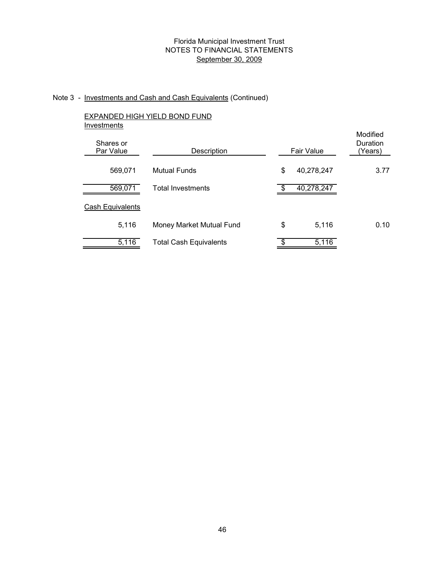## Note 3 - Investments and Cash and Cash Equivalents (Continued)

# EXPANDED HIGH YIELD BOND FUND **Investments** Mutual Funds 40,278,247 569,071 \$ Total Investments 40,278,247 569,071 \$ Cash Equivalents Money Market Mutual Fund 5,116 Total Cash Equivalents \$ 5,116 Shares or<br>Par Value Description Fair Value Modified (Years) Duration 5,116 \$ 5,116

3.77

0.10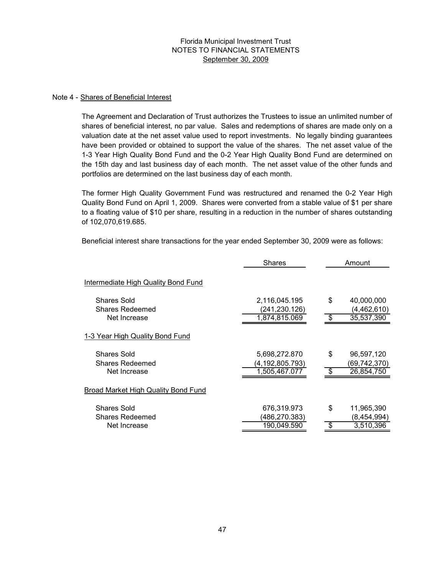#### Note 4 - Shares of Beneficial Interest

The Agreement and Declaration of Trust authorizes the Trustees to issue an unlimited number of shares of beneficial interest, no par value. Sales and redemptions of shares are made only on a valuation date at the net asset value used to report investments. No legally binding guarantees have been provided or obtained to support the value of the shares. The net asset value of the 1-3 Year High Quality Bond Fund and the 0-2 Year High Quality Bond Fund are determined on the 15th day and last business day of each month. The net asset value of the other funds and portfolios are determined on the last business day of each month.

The former High Quality Government Fund was restructured and renamed the 0-2 Year High Quality Bond Fund on April 1, 2009. Shares were converted from a stable value of \$1 per share to a floating value of \$10 per share, resulting in a reduction in the number of shares outstanding of 102,070,619.685.

Beneficial interest share transactions for the year ended September 30, 2009 were as follows:

|                                       | <b>Shares</b>                  |     | Amount                    |  |
|---------------------------------------|--------------------------------|-----|---------------------------|--|
| Intermediate High Quality Bond Fund   |                                |     |                           |  |
| Shares Sold<br><b>Shares Redeemed</b> | 2,116,045.195<br>(241,230.126) | \$  | 40,000,000<br>(4,462,610) |  |
| Net Increase                          | 1,874,815.069                  | ß.  | 35,537,390                |  |
| 1-3 Year High Quality Bond Fund       |                                |     |                           |  |
| <b>Shares Sold</b>                    | 5,698,272.870                  | \$  | 96,597,120                |  |
| <b>Shares Redeemed</b>                | (4, 192, 805.793)              |     | (69,742,370)              |  |
| Net Increase                          | 1,505,467.077                  | -\$ | 26,854,750                |  |
| Broad Market High Quality Bond Fund   |                                |     |                           |  |
| <b>Shares Sold</b>                    | 676,319.973                    | \$  | 11,965,390                |  |
| <b>Shares Redeemed</b>                | (486,270.383)                  |     | (8,454,994)               |  |
| Net Increase                          | 190,049.590                    | \$  | 3,510,396                 |  |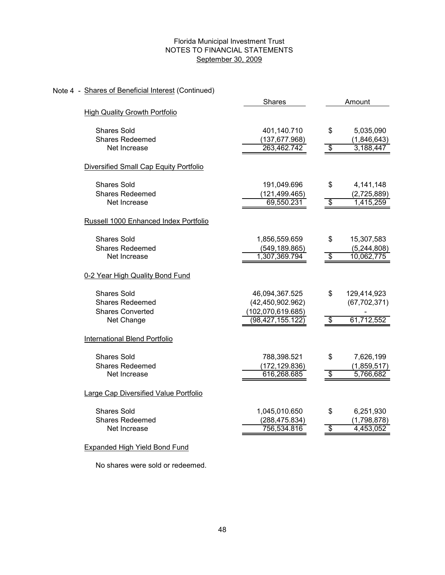### Note 4 - Shares of Beneficial Interest (Continued)

|                                        | <b>Shares</b>      |                          | Amount         |
|----------------------------------------|--------------------|--------------------------|----------------|
| <b>High Quality Growth Portfolio</b>   |                    |                          |                |
| <b>Shares Sold</b>                     | 401,140.710        | \$                       | 5,035,090      |
| <b>Shares Redeemed</b>                 | (137, 677.968)     |                          | (1,846,643)    |
| Net Increase                           | 263,462.742        | $\overline{\$}$          | 3,188,447      |
| Diversified Small Cap Equity Portfolio |                    |                          |                |
| <b>Shares Sold</b>                     | 191,049.696        | \$                       | 4,141,148      |
| <b>Shares Redeemed</b>                 | (121, 499.465)     |                          | (2,725,889)    |
| Net Increase                           | 69,550.231         | $\overline{\$}$          | 1,415,259      |
| Russell 1000 Enhanced Index Portfolio  |                    |                          |                |
| <b>Shares Sold</b>                     | 1,856,559.659      | \$                       | 15,307,583     |
| <b>Shares Redeemed</b>                 | (549, 189.865)     |                          | (5, 244, 808)  |
| Net Increase                           | 1,307,369.794      | $\overline{\mathcal{S}}$ | 10,062,775     |
| 0-2 Year High Quality Bond Fund        |                    |                          |                |
| <b>Shares Sold</b>                     | 46,094,367.525     | \$                       | 129,414,923    |
| <b>Shares Redeemed</b>                 | (42, 450, 902.962) |                          | (67, 702, 371) |
| <b>Shares Converted</b>                | (102,070,619.685)  |                          |                |
| Net Change                             | (98,427,155.122)   | $\overline{\mathcal{S}}$ | 61,712,552     |
| International Blend Portfolio          |                    |                          |                |
| <b>Shares Sold</b>                     | 788,398.521        | \$                       | 7,626,199      |
| <b>Shares Redeemed</b>                 | (172, 129.836)     |                          | (1,859,517)    |
| Net Increase                           | 616,268.685        | $\overline{\$}$          | 5,766,682      |
| Large Cap Diversified Value Portfolio  |                    |                          |                |
| <b>Shares Sold</b>                     | 1,045,010.650      | \$                       | 6,251,930      |
| <b>Shares Redeemed</b>                 | (288, 475.834)     |                          | (1,798,878)    |
| Net Increase                           | 756,534.816        | $\overline{\$}$          | 4,453,052      |
|                                        |                    |                          |                |

# Expanded High Yield Bond Fund

No shares were sold or redeemed.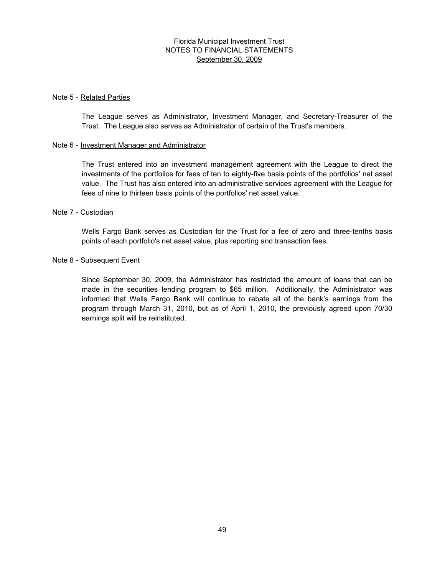#### Note 5 - Related Parties

The League serves as Administrator, Investment Manager, and Secretary-Treasurer of the Trust. The League also serves as Administrator of certain of the Trust's members.

#### Note 6 - Investment Manager and Administrator

The Trust entered into an investment management agreement with the League to direct the investments of the portfolios for fees of ten to eighty-five basis points of the portfolios' net asset value. The Trust has also entered into an administrative services agreement with the League for fees of nine to thirteen basis points of the portfolios' net asset value.

#### Note 7 - Custodian

Wells Fargo Bank serves as Custodian for the Trust for a fee of zero and three-tenths basis points of each portfolio's net asset value, plus reporting and transaction fees.

#### Note 8 - Subsequent Event

Since September 30, 2009, the Administrator has restricted the amount of loans that can be made in the securities lending program to \$65 million. Additionally, the Administrator was informed that Wells Fargo Bank will continue to rebate all of the bank's earnings from the program through March 31, 2010, but as of April 1, 2010, the previously agreed upon 70/30 earnings split will be reinstituted.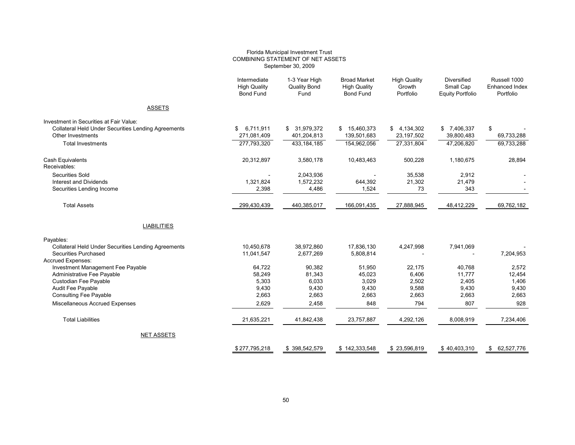#### Florida Municipal Investment Trust COMBINING STATEMENT OF NET ASSETS September 30, 2009

|                                                            | Intermediate<br><b>High Quality</b><br><b>Bond Fund</b> | 1-3 Year High<br><b>Quality Bond</b><br>Fund | <b>Broad Market</b><br><b>High Quality</b><br><b>Bond Fund</b> | <b>High Quality</b><br>Growth<br>Portfolio | <b>Diversified</b><br>Small Cap<br><b>Equity Portfolio</b> | Russell 1000<br><b>Enhanced Index</b><br>Portfolio |
|------------------------------------------------------------|---------------------------------------------------------|----------------------------------------------|----------------------------------------------------------------|--------------------------------------------|------------------------------------------------------------|----------------------------------------------------|
| <b>ASSETS</b>                                              |                                                         |                                              |                                                                |                                            |                                                            |                                                    |
| Investment in Securities at Fair Value:                    |                                                         |                                              |                                                                |                                            |                                                            |                                                    |
| <b>Collateral Held Under Securities Lending Agreements</b> | 6,711,911<br>\$                                         | \$ 31,979,372                                | \$ 15,460,373                                                  | \$4,134,302                                | \$7,406,337                                                | \$                                                 |
| Other Investments                                          | 271,081,409                                             | 401,204,813                                  | 139,501,683                                                    | 23,197,502                                 | 39,800,483                                                 | 69,733,288                                         |
| <b>Total Investments</b>                                   | 277,793,320                                             | 433,184,185                                  | 154,962,056                                                    | 27.331.804                                 | 47,206,820                                                 | 69,733,288                                         |
| <b>Cash Equivalents</b><br>Receivables:                    | 20,312,897                                              | 3,580,178                                    | 10,483,463                                                     | 500,228                                    | 1,180,675                                                  | 28,894                                             |
| <b>Securities Sold</b>                                     |                                                         | 2,043,936                                    |                                                                | 35,538                                     | 2,912                                                      |                                                    |
| <b>Interest and Dividends</b>                              | 1,321,824                                               | 1,572,232                                    | 644,392                                                        | 21,302                                     | 21,479                                                     |                                                    |
| Securities Lending Income                                  | 2,398                                                   | 4,486                                        | 1,524                                                          | 73                                         | 343                                                        |                                                    |
| <b>Total Assets</b>                                        | 299,430,439                                             | 440,385,017                                  | 166,091,435                                                    | 27,888,945                                 | 48,412,229                                                 | 69,762,182                                         |
| <b>LIABILITIES</b>                                         |                                                         |                                              |                                                                |                                            |                                                            |                                                    |
| Payables:                                                  |                                                         |                                              |                                                                |                                            |                                                            |                                                    |
| <b>Collateral Held Under Securities Lending Agreements</b> | 10,450,678                                              | 38,972,860                                   | 17,836,130                                                     | 4,247,998                                  | 7,941,069                                                  |                                                    |
| Securities Purchased                                       | 11,041,547                                              | 2,677,269                                    | 5,808,814                                                      |                                            |                                                            | 7,204,953                                          |
| <b>Accrued Expenses:</b>                                   |                                                         |                                              |                                                                |                                            |                                                            |                                                    |
| Investment Management Fee Payable                          | 64,722                                                  | 90.382                                       | 51,950                                                         | 22,175                                     | 40,768                                                     | 2,572                                              |
| Administrative Fee Payable                                 | 58,249                                                  | 81,343                                       | 45,023                                                         | 6,406                                      | 11,777                                                     | 12,454                                             |
| Custodian Fee Payable                                      | 5,303                                                   | 6,033                                        | 3,029                                                          | 2,502                                      | 2,405                                                      | 1,406                                              |
| Audit Fee Payable                                          | 9,430                                                   | 9,430                                        | 9,430                                                          | 9,588                                      | 9,430                                                      | 9,430                                              |
| <b>Consulting Fee Payable</b>                              | 2,663                                                   | 2,663                                        | 2,663                                                          | 2,663                                      | 2,663                                                      | 2,663                                              |
| Miscellaneous Accrued Expenses                             | 2,629                                                   | 2,458                                        | 848                                                            | 794                                        | 807                                                        | 928                                                |
| <b>Total Liabilities</b>                                   | 21,635,221                                              | 41,842,438                                   | 23,757,887                                                     | 4,292,126                                  | 8,008,919                                                  | 7,234,406                                          |
| <b>NET ASSETS</b>                                          |                                                         |                                              |                                                                |                                            |                                                            |                                                    |
|                                                            | \$277.795.218                                           | \$398.542.579                                | \$142.333.548                                                  | \$23.596.819                               | \$40.403.310                                               | \$ 62,527,776                                      |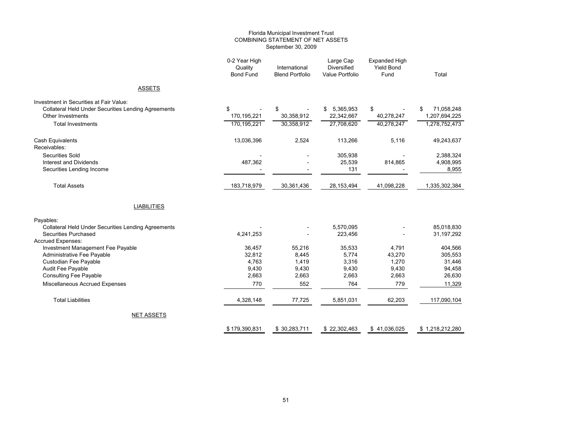#### Florida Municipal Investment Trust COMBINING STATEMENT OF NET ASSETS September 30, 2009

|                                                                                    | 0-2 Year High<br>Quality<br><b>Bond Fund</b> | International<br><b>Blend Portfolio</b> | <b>Diversified</b><br><b>Value Portfolio</b> | <b>Yield Bond</b><br>Fund                                                                                                                                                                                                                                                                                                                             | Total                             |
|------------------------------------------------------------------------------------|----------------------------------------------|-----------------------------------------|----------------------------------------------|-------------------------------------------------------------------------------------------------------------------------------------------------------------------------------------------------------------------------------------------------------------------------------------------------------------------------------------------------------|-----------------------------------|
| <b>ASSETS</b>                                                                      |                                              |                                         |                                              | Large Cap<br>Expanded High<br>5,365,953<br>\$<br>22,342,667<br>40,278,247<br>27,708,620<br>40,278,247<br>113,266<br>5,116<br>305,938<br>25,539<br>814,865<br>131<br>28,153,494<br>41,098,228<br>5,570,095<br>223,456<br>35,533<br>4,791<br>5,774<br>43,270<br>3,316<br>1,270<br>9,430<br>9,430<br>2,663<br>2,663<br>764<br>779<br>5,851,031<br>62,203 |                                   |
| Investment in Securities at Fair Value:                                            |                                              |                                         |                                              |                                                                                                                                                                                                                                                                                                                                                       |                                   |
| <b>Collateral Held Under Securities Lending Agreements</b><br>Other Investments    | \$<br>170,195,221                            | \$<br>30,358,912                        | \$                                           |                                                                                                                                                                                                                                                                                                                                                       | 71,058,248<br>\$<br>1,207,694,225 |
| <b>Total Investments</b>                                                           | 170,195,221                                  | 30,358,912                              |                                              | \$41,036,025                                                                                                                                                                                                                                                                                                                                          | 1,278,752,473                     |
| Cash Equivalents<br>Receivables:                                                   | 13,036,396                                   | 2,524                                   |                                              |                                                                                                                                                                                                                                                                                                                                                       | 49,243,637                        |
| Securities Sold<br><b>Interest and Dividends</b><br>Securities Lending Income      | 487,362                                      |                                         |                                              |                                                                                                                                                                                                                                                                                                                                                       | 2,388,324<br>4,908,995<br>8,955   |
| <b>Total Assets</b>                                                                | 183,718,979                                  | 30,361,436                              |                                              |                                                                                                                                                                                                                                                                                                                                                       | 1,335,302,384                     |
| <b>LIABILITIES</b>                                                                 |                                              |                                         |                                              |                                                                                                                                                                                                                                                                                                                                                       |                                   |
| Payables:                                                                          |                                              |                                         |                                              |                                                                                                                                                                                                                                                                                                                                                       |                                   |
| <b>Collateral Held Under Securities Lending Agreements</b><br>Securities Purchased | 4,241,253                                    |                                         |                                              |                                                                                                                                                                                                                                                                                                                                                       | 85,018,830<br>31,197,292          |
| <b>Accrued Expenses:</b>                                                           | 36,457                                       |                                         |                                              |                                                                                                                                                                                                                                                                                                                                                       | 404,566                           |
| Investment Management Fee Payable<br>Administrative Fee Payable                    | 32,812                                       | 55,216<br>8,445                         |                                              |                                                                                                                                                                                                                                                                                                                                                       | 305,553                           |
| Custodian Fee Payable                                                              | 4,763                                        | 1,419                                   |                                              |                                                                                                                                                                                                                                                                                                                                                       | 31,446                            |
| Audit Fee Payable                                                                  | 9,430                                        | 9,430                                   |                                              |                                                                                                                                                                                                                                                                                                                                                       | 94,458                            |
| <b>Consulting Fee Payable</b>                                                      | 2,663                                        | 2,663                                   |                                              |                                                                                                                                                                                                                                                                                                                                                       | 26,630                            |
| Miscellaneous Accrued Expenses                                                     | 770                                          | 552                                     |                                              |                                                                                                                                                                                                                                                                                                                                                       | 11,329                            |
| <b>Total Liabilities</b>                                                           | 4,328,148                                    | 77,725                                  |                                              |                                                                                                                                                                                                                                                                                                                                                       | 117,090,104                       |
| <b>NET ASSETS</b>                                                                  |                                              |                                         |                                              |                                                                                                                                                                                                                                                                                                                                                       |                                   |
|                                                                                    | \$179,390,831                                | \$30,283,711                            | \$22,302,463                                 |                                                                                                                                                                                                                                                                                                                                                       | \$1,218,212,280                   |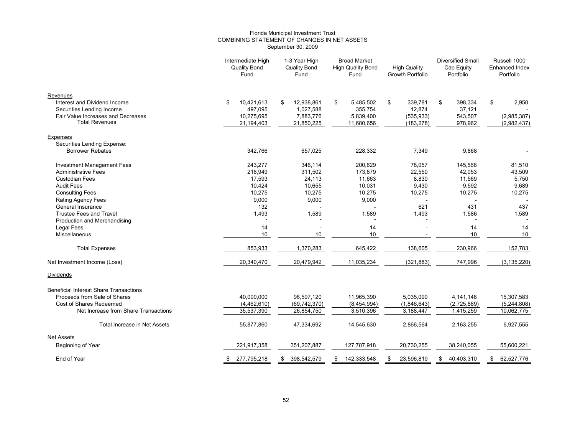#### Florida Municipal Investment Trust COMBINING STATEMENT OF CHANGES IN NET ASSETS September 30, 2009

|                                                           | Intermediate High<br><b>Quality Bond</b><br>Fund | <b>Broad Market</b><br>1-3 Year High<br><b>Quality Bond</b><br><b>High Quality Bond</b><br>Fund<br>Fund |                         | <b>High Quality</b><br><b>Growth Portfolio</b> |                      | <b>Diversified Small</b><br>Cap Equity<br>Portfolio |                   | Russell 1000<br><b>Enhanced Index</b><br>Portfolio |                   |    |               |
|-----------------------------------------------------------|--------------------------------------------------|---------------------------------------------------------------------------------------------------------|-------------------------|------------------------------------------------|----------------------|-----------------------------------------------------|-------------------|----------------------------------------------------|-------------------|----|---------------|
| Revenues                                                  |                                                  |                                                                                                         |                         |                                                |                      |                                                     |                   |                                                    |                   |    |               |
| Interest and Dividend Income<br>Securities Lending Income | 10,421,613<br>\$<br>497,095                      | \$                                                                                                      | 12,938,861<br>1,027,588 | \$                                             | 5,485,502<br>355,754 | \$                                                  | 339,781<br>12,874 | \$                                                 | 398,334<br>37,121 | \$ | 2,950         |
| Fair Value Increases and Decreases                        | 10,275,695                                       |                                                                                                         | 7,883,776               |                                                | 5,839,400            |                                                     | (535, 933)        |                                                    | 543,507           |    | (2,985,387)   |
| <b>Total Revenues</b>                                     | 21,194,403                                       |                                                                                                         | 21,850,225              |                                                | 11,680,656           |                                                     | (183, 278)        |                                                    | 978,962           |    | (2,982,437)   |
| Expenses<br>Securities Lending Expense:                   |                                                  |                                                                                                         |                         |                                                |                      |                                                     |                   |                                                    |                   |    |               |
| <b>Borrower Rebates</b>                                   | 342,766                                          |                                                                                                         | 657,025                 |                                                | 228,332              |                                                     | 7,349             |                                                    | 9,868             |    |               |
| <b>Investment Management Fees</b>                         | 243.277                                          |                                                                                                         | 346,114                 |                                                | 200,629              |                                                     | 78,057            |                                                    | 145,568           |    | 81,510        |
| <b>Administrative Fees</b>                                | 218,949                                          |                                                                                                         | 311,502                 |                                                | 173,879              |                                                     | 22,550            |                                                    | 42,053            |    | 43,509        |
| <b>Custodian Fees</b>                                     | 17,593                                           |                                                                                                         | 24,113                  |                                                | 11,663               |                                                     | 8,830             |                                                    | 11,569            |    | 5,750         |
| <b>Audit Fees</b>                                         | 10,424                                           |                                                                                                         | 10,655                  |                                                | 10,031               |                                                     | 9,430             |                                                    | 9,592             |    | 9,689         |
| <b>Consulting Fees</b>                                    | 10,275                                           |                                                                                                         | 10,275                  |                                                | 10,275               |                                                     | 10,275            |                                                    | 10,275            |    | 10,275        |
| <b>Rating Agency Fees</b>                                 | 9,000                                            |                                                                                                         | 9,000                   |                                                | 9,000                |                                                     |                   |                                                    |                   |    |               |
| General Insurance                                         | 132                                              |                                                                                                         |                         |                                                |                      |                                                     | 621               |                                                    | 431               |    | 437           |
| <b>Trustee Fees and Travel</b>                            | 1,493                                            |                                                                                                         | 1,589                   |                                                | 1,589                |                                                     | 1,493             |                                                    | 1,586             |    | 1,589         |
| Production and Merchandising                              |                                                  |                                                                                                         |                         |                                                |                      |                                                     |                   |                                                    |                   |    |               |
| Legal Fees                                                | 14                                               |                                                                                                         |                         |                                                | 14                   |                                                     |                   |                                                    | 14                |    | 14            |
| Miscellaneous                                             | 10                                               |                                                                                                         | 10                      |                                                | 10                   |                                                     |                   |                                                    | $10$              |    | 10            |
| <b>Total Expenses</b>                                     | 853,933                                          |                                                                                                         | 1,370,283               |                                                | 645,422              |                                                     | 138,605           |                                                    | 230,966           |    | 152,783       |
| Net Investment Income (Loss)                              | 20,340,470                                       |                                                                                                         | 20,479,942              |                                                | 11,035,234           |                                                     | (321, 883)        |                                                    | 747,996           |    | (3, 135, 220) |
| <b>Dividends</b>                                          |                                                  |                                                                                                         |                         |                                                |                      |                                                     |                   |                                                    |                   |    |               |
| <b>Beneficial Interest Share Transactions</b>             |                                                  |                                                                                                         |                         |                                                |                      |                                                     |                   |                                                    |                   |    |               |
| Proceeds from Sale of Shares                              | 40,000,000                                       |                                                                                                         | 96,597,120              |                                                | 11,965,390           |                                                     | 5,035,090         |                                                    | 4,141,148         |    | 15,307,583    |
| Cost of Shares Redeemed                                   | (4,462,610)                                      |                                                                                                         | (69, 742, 370)          |                                                | (8,454,994)          |                                                     | (1,846,643)       |                                                    | (2,725,889)       |    | (5,244,808)   |
| Net Increase from Share Transactions                      | 35,537,390                                       |                                                                                                         | 26,854,750              |                                                | 3,510,396            |                                                     | 3,188,447         |                                                    | 1,415,259         |    | 10,062,775    |
| <b>Total Increase in Net Assets</b>                       | 55,877,860                                       |                                                                                                         | 47,334,692              |                                                | 14,545,630           |                                                     | 2,866,564         |                                                    | 2,163,255         |    | 6,927,555     |
| <b>Net Assets</b>                                         |                                                  |                                                                                                         |                         |                                                |                      |                                                     |                   |                                                    |                   |    |               |
| Beginning of Year                                         | 221,917,358                                      |                                                                                                         | 351,207,887             |                                                | 127,787,918          |                                                     | 20,730,255        |                                                    | 38,240,055        |    | 55,600,221    |
| End of Year                                               | 277,795,218<br>\$                                | S.                                                                                                      | 398,542,579             | S                                              | 142,333,548          |                                                     | 23,596,819        | \$                                                 | 40,403,310        | \$ | 62,527,776    |